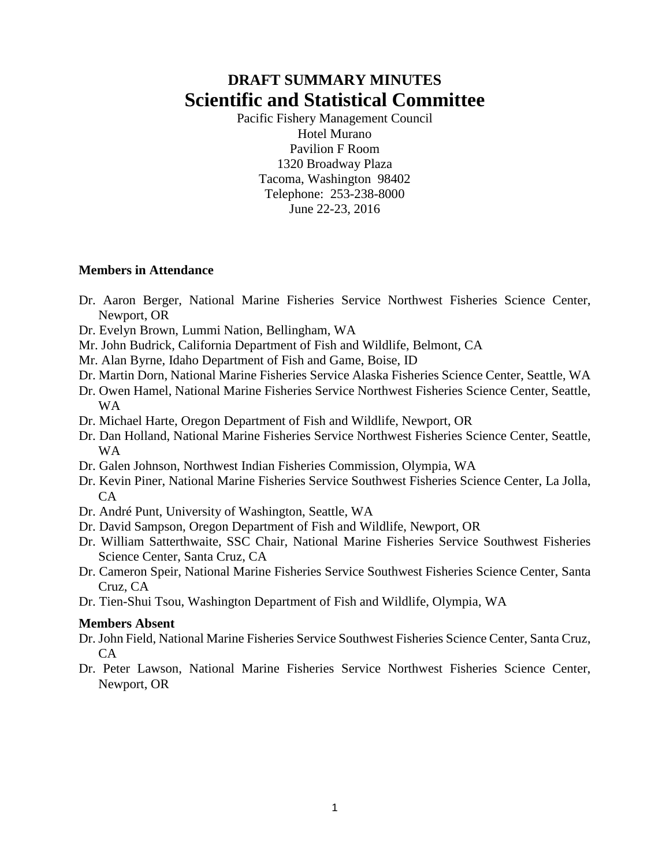# **DRAFT SUMMARY MINUTES Scientific and Statistical Committee**

Pacific Fishery Management Council Hotel Murano Pavilion F Room 1320 Broadway Plaza Tacoma, Washington 98402 Telephone: 253-238-8000 June 22-23, 2016

### **Members in Attendance**

- Dr. Aaron Berger, National Marine Fisheries Service Northwest Fisheries Science Center, Newport, OR
- Dr. Evelyn Brown, Lummi Nation, Bellingham, WA
- Mr. John Budrick, California Department of Fish and Wildlife, Belmont, CA
- Mr. Alan Byrne, Idaho Department of Fish and Game, Boise, ID
- Dr. Martin Dorn, National Marine Fisheries Service Alaska Fisheries Science Center, Seattle, WA
- Dr. Owen Hamel, National Marine Fisheries Service Northwest Fisheries Science Center, Seattle, WA
- Dr. Michael Harte, Oregon Department of Fish and Wildlife, Newport, OR
- Dr. Dan Holland, National Marine Fisheries Service Northwest Fisheries Science Center, Seattle, WA
- Dr. Galen Johnson, Northwest Indian Fisheries Commission, Olympia, WA
- Dr. Kevin Piner, National Marine Fisheries Service Southwest Fisheries Science Center, La Jolla,  $CA$
- Dr. André Punt, University of Washington, Seattle, WA
- Dr. David Sampson, Oregon Department of Fish and Wildlife, Newport, OR
- Dr. William Satterthwaite, SSC Chair, National Marine Fisheries Service Southwest Fisheries Science Center, Santa Cruz, CA
- Dr. Cameron Speir, National Marine Fisheries Service Southwest Fisheries Science Center, Santa Cruz, CA
- Dr. Tien-Shui Tsou, Washington Department of Fish and Wildlife, Olympia, WA

### **Members Absent**

- Dr. John Field, National Marine Fisheries Service Southwest Fisheries Science Center, Santa Cruz,  $CA$
- Dr. Peter Lawson, National Marine Fisheries Service Northwest Fisheries Science Center, Newport, OR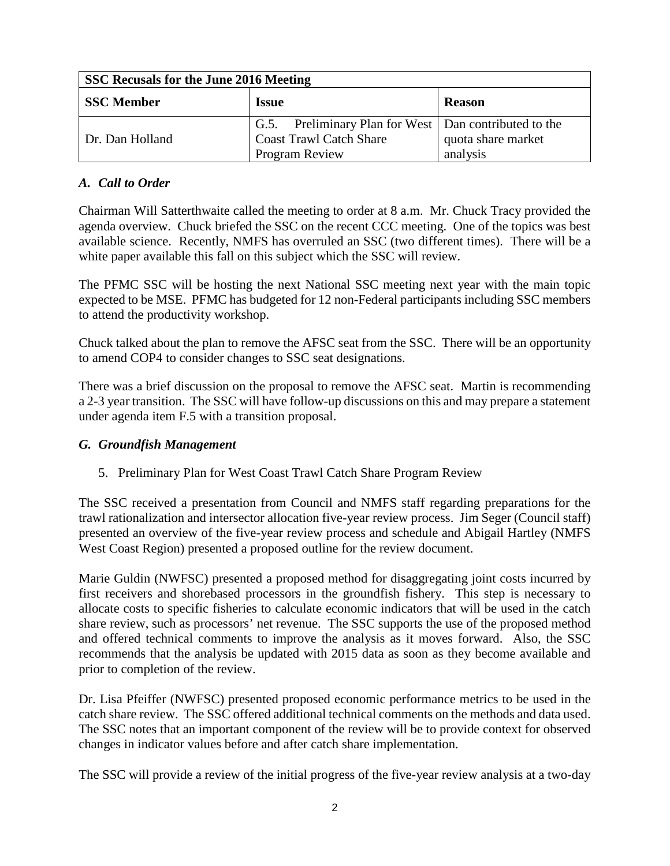| SSC Recusals for the June 2016 Meeting |                                                                                                             |                                |  |  |  |  |  |  |  |  |  |
|----------------------------------------|-------------------------------------------------------------------------------------------------------------|--------------------------------|--|--|--|--|--|--|--|--|--|
| <b>SSC Member</b>                      | <i><b>Issue</b></i>                                                                                         | <b>Reason</b>                  |  |  |  |  |  |  |  |  |  |
| Dr. Dan Holland                        | G.5. Preliminary Plan for West   Dan contributed to the<br><b>Coast Trawl Catch Share</b><br>Program Review | quota share market<br>analysis |  |  |  |  |  |  |  |  |  |

# *A. Call to Order*

Chairman Will Satterthwaite called the meeting to order at 8 a.m. Mr. Chuck Tracy provided the agenda overview. Chuck briefed the SSC on the recent CCC meeting. One of the topics was best available science. Recently, NMFS has overruled an SSC (two different times). There will be a white paper available this fall on this subject which the SSC will review.

The PFMC SSC will be hosting the next National SSC meeting next year with the main topic expected to be MSE. PFMC has budgeted for 12 non-Federal participants including SSC members to attend the productivity workshop.

Chuck talked about the plan to remove the AFSC seat from the SSC. There will be an opportunity to amend COP4 to consider changes to SSC seat designations.

There was a brief discussion on the proposal to remove the AFSC seat. Martin is recommending a 2-3 year transition. The SSC will have follow-up discussions on this and may prepare a statement under agenda item F.5 with a transition proposal.

# *G. Groundfish Management*

5. Preliminary Plan for West Coast Trawl Catch Share Program Review

The SSC received a presentation from Council and NMFS staff regarding preparations for the trawl rationalization and intersector allocation five-year review process. Jim Seger (Council staff) presented an overview of the five-year review process and schedule and Abigail Hartley (NMFS West Coast Region) presented a proposed outline for the review document.

Marie Guldin (NWFSC) presented a proposed method for disaggregating joint costs incurred by first receivers and shorebased processors in the groundfish fishery. This step is necessary to allocate costs to specific fisheries to calculate economic indicators that will be used in the catch share review, such as processors' net revenue. The SSC supports the use of the proposed method and offered technical comments to improve the analysis as it moves forward. Also, the SSC recommends that the analysis be updated with 2015 data as soon as they become available and prior to completion of the review.

Dr. Lisa Pfeiffer (NWFSC) presented proposed economic performance metrics to be used in the catch share review. The SSC offered additional technical comments on the methods and data used. The SSC notes that an important component of the review will be to provide context for observed changes in indicator values before and after catch share implementation.

The SSC will provide a review of the initial progress of the five-year review analysis at a two-day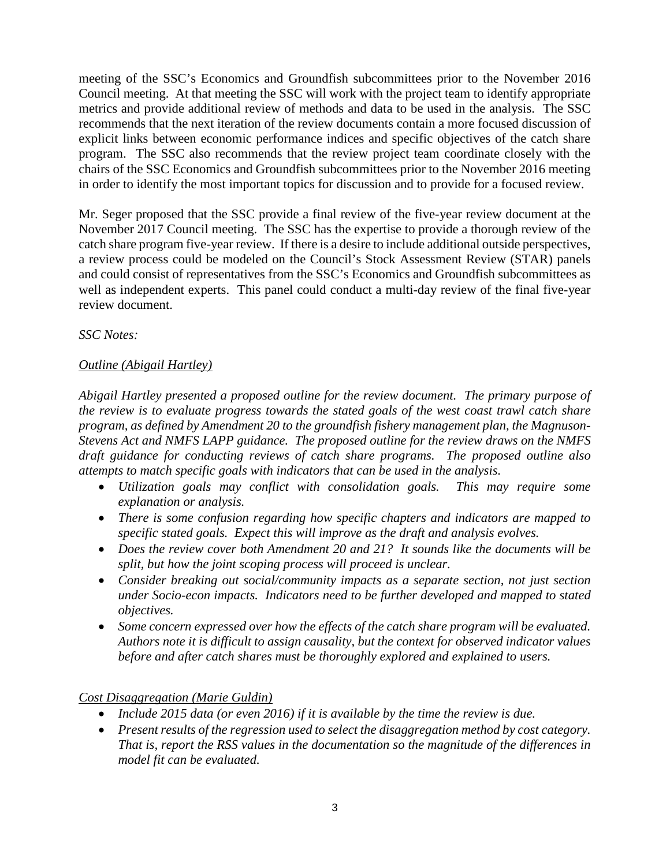meeting of the SSC's Economics and Groundfish subcommittees prior to the November 2016 Council meeting. At that meeting the SSC will work with the project team to identify appropriate metrics and provide additional review of methods and data to be used in the analysis. The SSC recommends that the next iteration of the review documents contain a more focused discussion of explicit links between economic performance indices and specific objectives of the catch share program. The SSC also recommends that the review project team coordinate closely with the chairs of the SSC Economics and Groundfish subcommittees prior to the November 2016 meeting in order to identify the most important topics for discussion and to provide for a focused review.

Mr. Seger proposed that the SSC provide a final review of the five-year review document at the November 2017 Council meeting. The SSC has the expertise to provide a thorough review of the catch share program five-year review. If there is a desire to include additional outside perspectives, a review process could be modeled on the Council's Stock Assessment Review (STAR) panels and could consist of representatives from the SSC's Economics and Groundfish subcommittees as well as independent experts. This panel could conduct a multi-day review of the final five-year review document.

*SSC Notes:*

# *Outline (Abigail Hartley)*

*Abigail Hartley presented a proposed outline for the review document. The primary purpose of the review is to evaluate progress towards the stated goals of the west coast trawl catch share program, as defined by Amendment 20 to the groundfish fishery management plan, the Magnuson-Stevens Act and NMFS LAPP guidance. The proposed outline for the review draws on the NMFS draft guidance for conducting reviews of catch share programs. The proposed outline also attempts to match specific goals with indicators that can be used in the analysis.*

- *Utilization goals may conflict with consolidation goals. This may require some explanation or analysis.*
- *There is some confusion regarding how specific chapters and indicators are mapped to specific stated goals. Expect this will improve as the draft and analysis evolves.*
- *Does the review cover both Amendment 20 and 21? It sounds like the documents will be split, but how the joint scoping process will proceed is unclear.*
- *Consider breaking out social/community impacts as a separate section, not just section under Socio-econ impacts. Indicators need to be further developed and mapped to stated objectives.*
- *Some concern expressed over how the effects of the catch share program will be evaluated. Authors note it is difficult to assign causality, but the context for observed indicator values before and after catch shares must be thoroughly explored and explained to users.*

*Cost Disaggregation (Marie Guldin)*

- *Include 2015 data (or even 2016) if it is available by the time the review is due.*
- *Present results of the regression used to select the disaggregation method by cost category. That is, report the RSS values in the documentation so the magnitude of the differences in model fit can be evaluated.*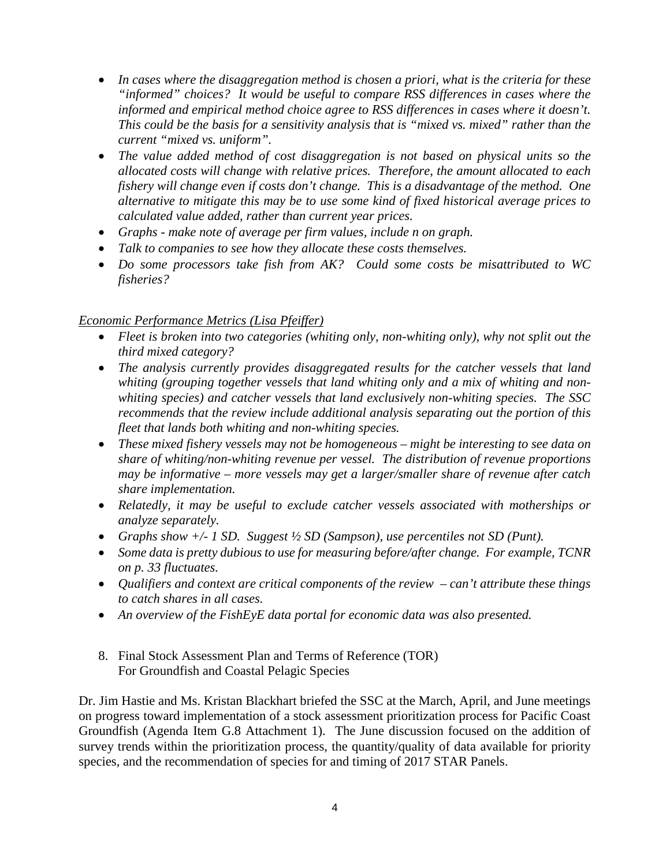- *In cases where the disaggregation method is chosen a priori, what is the criteria for these "informed" choices? It would be useful to compare RSS differences in cases where the informed and empirical method choice agree to RSS differences in cases where it doesn't. This could be the basis for a sensitivity analysis that is "mixed vs. mixed" rather than the current "mixed vs. uniform".*
- *The value added method of cost disaggregation is not based on physical units so the allocated costs will change with relative prices. Therefore, the amount allocated to each fishery will change even if costs don't change. This is a disadvantage of the method. One alternative to mitigate this may be to use some kind of fixed historical average prices to calculated value added, rather than current year prices.*
- *Graphs - make note of average per firm values, include n on graph.*
- *Talk to companies to see how they allocate these costs themselves.*
- *Do some processors take fish from AK? Could some costs be misattributed to WC fisheries?*

# *Economic Performance Metrics (Lisa Pfeiffer)*

- *Fleet is broken into two categories (whiting only, non-whiting only), why not split out the third mixed category?*
- *The analysis currently provides disaggregated results for the catcher vessels that land whiting (grouping together vessels that land whiting only and a mix of whiting and nonwhiting species) and catcher vessels that land exclusively non-whiting species. The SSC recommends that the review include additional analysis separating out the portion of this fleet that lands both whiting and non-whiting species.*
- *These mixed fishery vessels may not be homogeneous – might be interesting to see data on share of whiting/non-whiting revenue per vessel. The distribution of revenue proportions may be informative – more vessels may get a larger/smaller share of revenue after catch share implementation.*
- *Relatedly, it may be useful to exclude catcher vessels associated with motherships or analyze separately.*
- *Graphs show +/- 1 SD. Suggest ½ SD (Sampson), use percentiles not SD (Punt).*
- *Some data is pretty dubious to use for measuring before/after change. For example, TCNR on p. 33 fluctuates.*
- *Qualifiers and context are critical components of the review – can't attribute these things to catch shares in all cases.*
- *An overview of the FishEyE data portal for economic data was also presented.*
- 8. Final Stock Assessment Plan and Terms of Reference (TOR) For Groundfish and Coastal Pelagic Species

Dr. Jim Hastie and Ms. Kristan Blackhart briefed the SSC at the March, April, and June meetings on progress toward implementation of a stock assessment prioritization process for Pacific Coast Groundfish (Agenda Item G.8 Attachment 1). The June discussion focused on the addition of survey trends within the prioritization process, the quantity/quality of data available for priority species, and the recommendation of species for and timing of 2017 STAR Panels.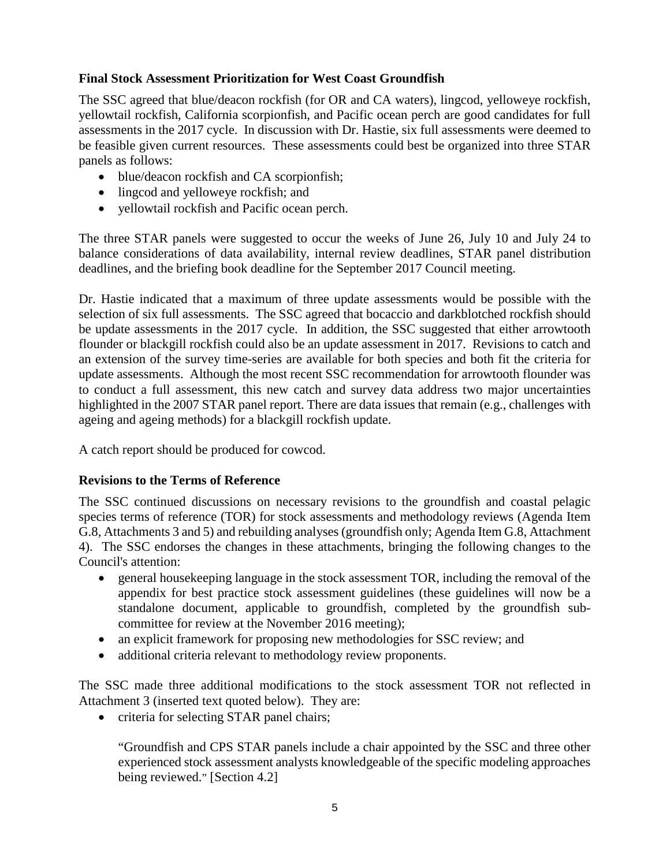# **Final Stock Assessment Prioritization for West Coast Groundfish**

The SSC agreed that blue/deacon rockfish (for OR and CA waters), lingcod, yelloweye rockfish, yellowtail rockfish, California scorpionfish, and Pacific ocean perch are good candidates for full assessments in the 2017 cycle. In discussion with Dr. Hastie, six full assessments were deemed to be feasible given current resources. These assessments could best be organized into three STAR panels as follows:

- blue/deacon rockfish and CA scorpionfish;
- lingcod and yelloweye rockfish; and
- yellowtail rockfish and Pacific ocean perch.

The three STAR panels were suggested to occur the weeks of June 26, July 10 and July 24 to balance considerations of data availability, internal review deadlines, STAR panel distribution deadlines, and the briefing book deadline for the September 2017 Council meeting.

Dr. Hastie indicated that a maximum of three update assessments would be possible with the selection of six full assessments. The SSC agreed that bocaccio and darkblotched rockfish should be update assessments in the 2017 cycle. In addition, the SSC suggested that either arrowtooth flounder or blackgill rockfish could also be an update assessment in 2017. Revisions to catch and an extension of the survey time-series are available for both species and both fit the criteria for update assessments. Although the most recent SSC recommendation for arrowtooth flounder was to conduct a full assessment, this new catch and survey data address two major uncertainties highlighted in the 2007 STAR panel report. There are data issues that remain (e.g., challenges with ageing and ageing methods) for a blackgill rockfish update.

A catch report should be produced for cowcod.

# **Revisions to the Terms of Reference**

The SSC continued discussions on necessary revisions to the groundfish and coastal pelagic species terms of reference (TOR) for stock assessments and methodology reviews (Agenda Item G.8, Attachments 3 and 5) and rebuilding analyses (groundfish only; Agenda Item G.8, Attachment 4). The SSC endorses the changes in these attachments, bringing the following changes to the Council's attention:

- general house keeping language in the stock assessment TOR, including the removal of the appendix for best practice stock assessment guidelines (these guidelines will now be a standalone document, applicable to groundfish, completed by the groundfish subcommittee for review at the November 2016 meeting);
- an explicit framework for proposing new methodologies for SSC review; and
- additional criteria relevant to methodology review proponents.

The SSC made three additional modifications to the stock assessment TOR not reflected in Attachment 3 (inserted text quoted below). They are:

• criteria for selecting STAR panel chairs;

"Groundfish and CPS STAR panels include a chair appointed by the SSC and three other experienced stock assessment analysts knowledgeable of the specific modeling approaches being reviewed." [Section 4.2]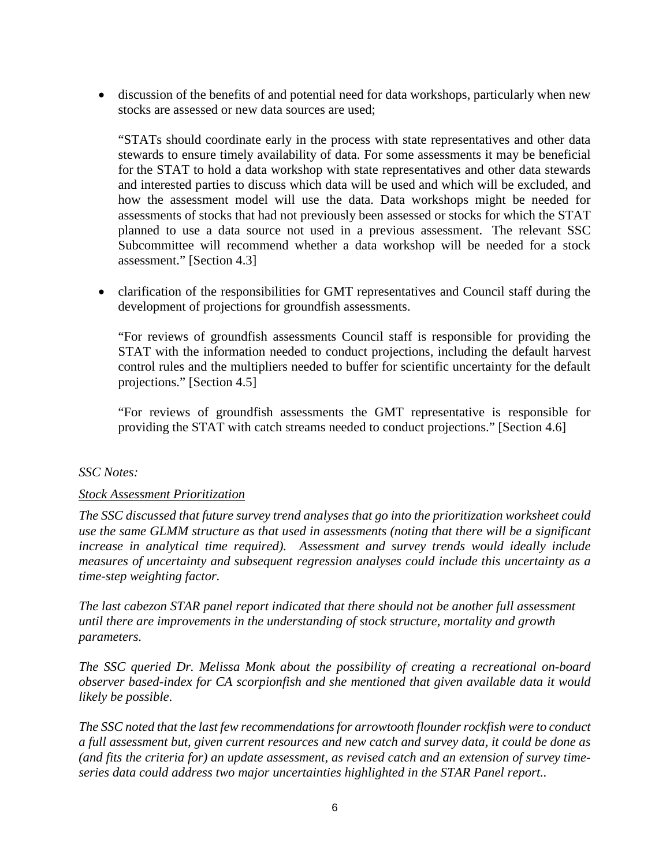• discussion of the benefits of and potential need for data workshops, particularly when new stocks are assessed or new data sources are used;

"STATs should coordinate early in the process with state representatives and other data stewards to ensure timely availability of data. For some assessments it may be beneficial for the STAT to hold a data workshop with state representatives and other data stewards and interested parties to discuss which data will be used and which will be excluded, and how the assessment model will use the data. Data workshops might be needed for assessments of stocks that had not previously been assessed or stocks for which the STAT planned to use a data source not used in a previous assessment. The relevant SSC Subcommittee will recommend whether a data workshop will be needed for a stock assessment." [Section 4.3]

• clarification of the responsibilities for GMT representatives and Council staff during the development of projections for groundfish assessments.

"For reviews of groundfish assessments Council staff is responsible for providing the STAT with the information needed to conduct projections, including the default harvest control rules and the multipliers needed to buffer for scientific uncertainty for the default projections." [Section 4.5]

"For reviews of groundfish assessments the GMT representative is responsible for providing the STAT with catch streams needed to conduct projections." [Section 4.6]

### *SSC Notes:*

### *Stock Assessment Prioritization*

*The SSC discussed that future survey trend analyses that go into the prioritization worksheet could use the same GLMM structure as that used in assessments (noting that there will be a significant increase in analytical time required). Assessment and survey trends would ideally include measures of uncertainty and subsequent regression analyses could include this uncertainty as a time-step weighting factor.* 

*The last cabezon STAR panel report indicated that there should not be another full assessment until there are improvements in the understanding of stock structure, mortality and growth parameters.* 

*The SSC queried Dr. Melissa Monk about the possibility of creating a recreational on-board observer based-index for CA scorpionfish and she mentioned that given available data it would likely be possible*.

*The SSC noted that the last few recommendations for arrowtooth flounder rockfish were to conduct a full assessment but, given current resources and new catch and survey data, it could be done as (and fits the criteria for) an update assessment, as revised catch and an extension of survey timeseries data could address two major uncertainties highlighted in the STAR Panel report..*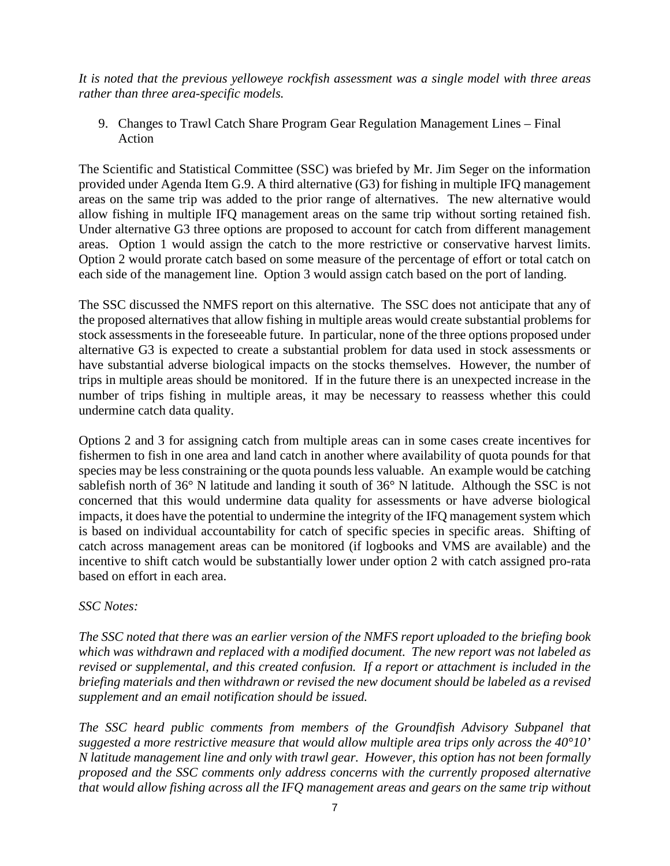*It is noted that the previous yelloweye rockfish assessment was a single model with three areas rather than three area-specific models.*

9. Changes to Trawl Catch Share Program Gear Regulation Management Lines – Final Action

The Scientific and Statistical Committee (SSC) was briefed by Mr. Jim Seger on the information provided under Agenda Item G.9. A third alternative (G3) for fishing in multiple IFQ management areas on the same trip was added to the prior range of alternatives. The new alternative would allow fishing in multiple IFQ management areas on the same trip without sorting retained fish. Under alternative G3 three options are proposed to account for catch from different management areas. Option 1 would assign the catch to the more restrictive or conservative harvest limits. Option 2 would prorate catch based on some measure of the percentage of effort or total catch on each side of the management line. Option 3 would assign catch based on the port of landing.

The SSC discussed the NMFS report on this alternative. The SSC does not anticipate that any of the proposed alternatives that allow fishing in multiple areas would create substantial problems for stock assessments in the foreseeable future. In particular, none of the three options proposed under alternative G3 is expected to create a substantial problem for data used in stock assessments or have substantial adverse biological impacts on the stocks themselves. However, the number of trips in multiple areas should be monitored. If in the future there is an unexpected increase in the number of trips fishing in multiple areas, it may be necessary to reassess whether this could undermine catch data quality.

Options 2 and 3 for assigning catch from multiple areas can in some cases create incentives for fishermen to fish in one area and land catch in another where availability of quota pounds for that species may be less constraining or the quota pounds less valuable. An example would be catching sablefish north of 36° N latitude and landing it south of 36° N latitude. Although the SSC is not concerned that this would undermine data quality for assessments or have adverse biological impacts, it does have the potential to undermine the integrity of the IFQ management system which is based on individual accountability for catch of specific species in specific areas. Shifting of catch across management areas can be monitored (if logbooks and VMS are available) and the incentive to shift catch would be substantially lower under option 2 with catch assigned pro-rata based on effort in each area.

# *SSC Notes:*

*The SSC noted that there was an earlier version of the NMFS report uploaded to the briefing book which was withdrawn and replaced with a modified document. The new report was not labeled as revised or supplemental, and this created confusion. If a report or attachment is included in the briefing materials and then withdrawn or revised the new document should be labeled as a revised supplement and an email notification should be issued.*

*The SSC heard public comments from members of the Groundfish Advisory Subpanel that suggested a more restrictive measure that would allow multiple area trips only across the 40°10' N latitude management line and only with trawl gear. However, this option has not been formally proposed and the SSC comments only address concerns with the currently proposed alternative that would allow fishing across all the IFQ management areas and gears on the same trip without*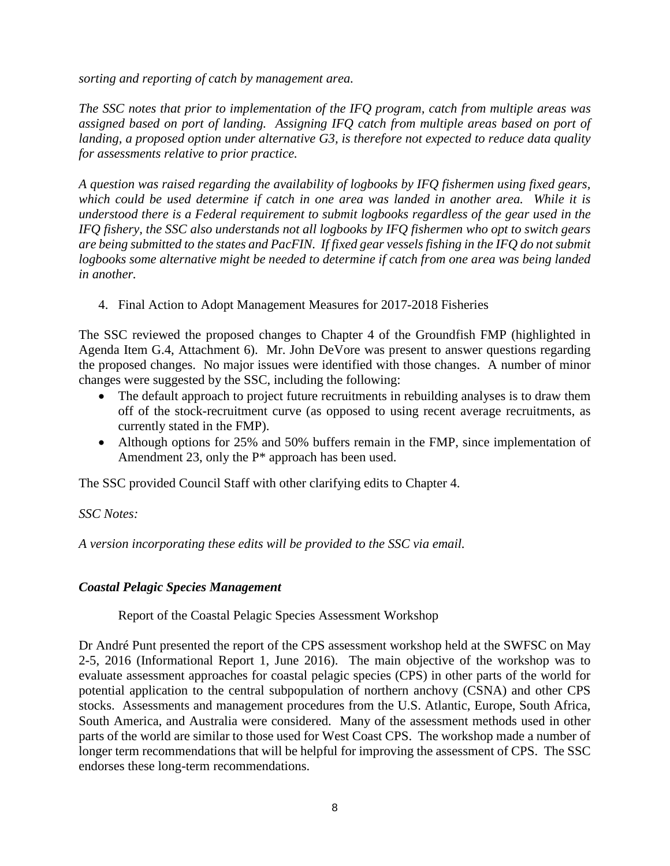*sorting and reporting of catch by management area.*

*The SSC notes that prior to implementation of the IFQ program, catch from multiple areas was assigned based on port of landing. Assigning IFQ catch from multiple areas based on port of landing, a proposed option under alternative G3, is therefore not expected to reduce data quality for assessments relative to prior practice.* 

*A question was raised regarding the availability of logbooks by IFQ fishermen using fixed gears, which could be used determine if catch in one area was landed in another area. While it is understood there is a Federal requirement to submit logbooks regardless of the gear used in the IFQ fishery, the SSC also understands not all logbooks by IFQ fishermen who opt to switch gears are being submitted to the states and PacFIN. If fixed gear vessels fishing in the IFQ do not submit logbooks some alternative might be needed to determine if catch from one area was being landed in another.* 

4. Final Action to Adopt Management Measures for 2017-2018 Fisheries

The SSC reviewed the proposed changes to Chapter 4 of the Groundfish FMP (highlighted in Agenda Item G.4, Attachment 6). Mr. John DeVore was present to answer questions regarding the proposed changes. No major issues were identified with those changes. A number of minor changes were suggested by the SSC, including the following:

- The default approach to project future recruitments in rebuilding analyses is to draw them off of the stock-recruitment curve (as opposed to using recent average recruitments, as currently stated in the FMP).
- Although options for 25% and 50% buffers remain in the FMP, since implementation of Amendment 23, only the P\* approach has been used.

The SSC provided Council Staff with other clarifying edits to Chapter 4.

# *SSC Notes:*

*A version incorporating these edits will be provided to the SSC via email.*

# *Coastal Pelagic Species Management*

Report of the Coastal Pelagic Species Assessment Workshop

Dr André Punt presented the report of the CPS assessment workshop held at the SWFSC on May 2-5, 2016 (Informational Report 1, June 2016). The main objective of the workshop was to evaluate assessment approaches for coastal pelagic species (CPS) in other parts of the world for potential application to the central subpopulation of northern anchovy (CSNA) and other CPS stocks. Assessments and management procedures from the U.S. Atlantic, Europe, South Africa, South America, and Australia were considered. Many of the assessment methods used in other parts of the world are similar to those used for West Coast CPS. The workshop made a number of longer term recommendations that will be helpful for improving the assessment of CPS. The SSC endorses these long-term recommendations.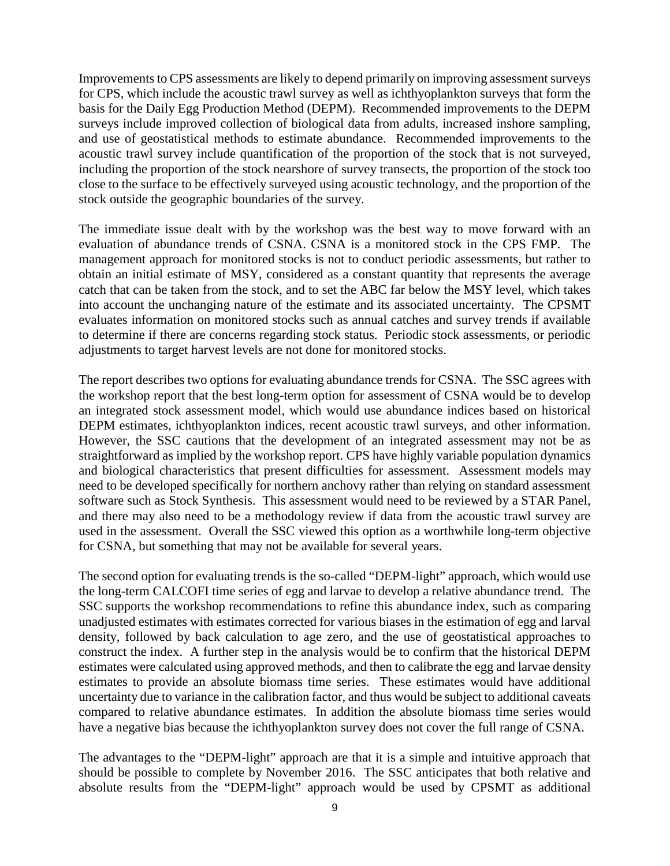Improvements to CPS assessments are likely to depend primarily on improving assessment surveys for CPS, which include the acoustic trawl survey as well as ichthyoplankton surveys that form the basis for the Daily Egg Production Method (DEPM). Recommended improvements to the DEPM surveys include improved collection of biological data from adults, increased inshore sampling, and use of geostatistical methods to estimate abundance. Recommended improvements to the acoustic trawl survey include quantification of the proportion of the stock that is not surveyed, including the proportion of the stock nearshore of survey transects, the proportion of the stock too close to the surface to be effectively surveyed using acoustic technology, and the proportion of the stock outside the geographic boundaries of the survey.

The immediate issue dealt with by the workshop was the best way to move forward with an evaluation of abundance trends of CSNA. CSNA is a monitored stock in the CPS FMP. The management approach for monitored stocks is not to conduct periodic assessments, but rather to obtain an initial estimate of MSY, considered as a constant quantity that represents the average catch that can be taken from the stock, and to set the ABC far below the MSY level, which takes into account the unchanging nature of the estimate and its associated uncertainty. The CPSMT evaluates information on monitored stocks such as annual catches and survey trends if available to determine if there are concerns regarding stock status. Periodic stock assessments, or periodic adjustments to target harvest levels are not done for monitored stocks.

The report describes two options for evaluating abundance trends for CSNA. The SSC agrees with the workshop report that the best long-term option for assessment of CSNA would be to develop an integrated stock assessment model, which would use abundance indices based on historical DEPM estimates, ichthyoplankton indices, recent acoustic trawl surveys, and other information. However, the SSC cautions that the development of an integrated assessment may not be as straightforward as implied by the workshop report. CPS have highly variable population dynamics and biological characteristics that present difficulties for assessment. Assessment models may need to be developed specifically for northern anchovy rather than relying on standard assessment software such as Stock Synthesis. This assessment would need to be reviewed by a STAR Panel, and there may also need to be a methodology review if data from the acoustic trawl survey are used in the assessment. Overall the SSC viewed this option as a worthwhile long-term objective for CSNA, but something that may not be available for several years.

The second option for evaluating trends is the so-called "DEPM-light" approach, which would use the long-term CALCOFI time series of egg and larvae to develop a relative abundance trend. The SSC supports the workshop recommendations to refine this abundance index, such as comparing unadjusted estimates with estimates corrected for various biases in the estimation of egg and larval density, followed by back calculation to age zero, and the use of geostatistical approaches to construct the index. A further step in the analysis would be to confirm that the historical DEPM estimates were calculated using approved methods, and then to calibrate the egg and larvae density estimates to provide an absolute biomass time series. These estimates would have additional uncertainty due to variance in the calibration factor, and thus would be subject to additional caveats compared to relative abundance estimates. In addition the absolute biomass time series would have a negative bias because the ichthyoplankton survey does not cover the full range of CSNA.

The advantages to the "DEPM-light" approach are that it is a simple and intuitive approach that should be possible to complete by November 2016. The SSC anticipates that both relative and absolute results from the "DEPM-light" approach would be used by CPSMT as additional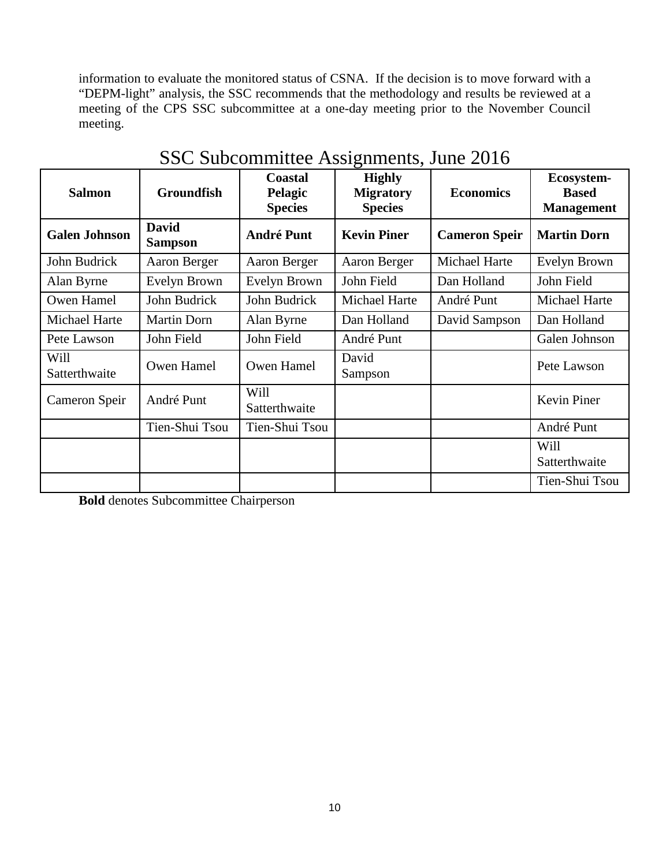information to evaluate the monitored status of CSNA. If the decision is to move forward with a "DEPM-light" analysis, the SSC recommends that the methodology and results be reviewed at a meeting of the CPS SSC subcommittee at a one-day meeting prior to the November Council meeting.

| <b>Salmon</b>         | <b>Groundfish</b>              | <b>Coastal</b><br>Pelagic<br><b>Species</b> | <b>Highly</b><br><b>Migratory</b><br><b>Species</b> | <b>Economics</b>     | Ecosystem-<br><b>Based</b><br><b>Management</b> |
|-----------------------|--------------------------------|---------------------------------------------|-----------------------------------------------------|----------------------|-------------------------------------------------|
| <b>Galen Johnson</b>  | <b>David</b><br><b>Sampson</b> | <b>André Punt</b>                           | <b>Kevin Piner</b>                                  | <b>Cameron Speir</b> | <b>Martin Dorn</b>                              |
| John Budrick          | Aaron Berger                   | Aaron Berger                                | Aaron Berger                                        | Michael Harte        | Evelyn Brown                                    |
| Alan Byrne            | Evelyn Brown                   | Evelyn Brown                                | John Field                                          | Dan Holland          | John Field                                      |
| Owen Hamel            | John Budrick                   | John Budrick                                | Michael Harte                                       | André Punt           | Michael Harte                                   |
| Michael Harte         | <b>Martin Dorn</b>             | Alan Byrne                                  | Dan Holland                                         | David Sampson        | Dan Holland                                     |
| Pete Lawson           | John Field                     | John Field                                  | André Punt                                          |                      | Galen Johnson                                   |
| Will<br>Satterthwaite | Owen Hamel                     | Owen Hamel                                  | David<br>Sampson                                    |                      | Pete Lawson                                     |
| Cameron Speir         | André Punt                     | Will<br>Satterthwaite                       |                                                     |                      | Kevin Piner                                     |
|                       | Tien-Shui Tsou                 | Tien-Shui Tsou                              |                                                     |                      | André Punt                                      |
|                       |                                |                                             |                                                     |                      | Will<br>Satterthwaite                           |
|                       |                                |                                             |                                                     |                      | Tien-Shui Tsou                                  |

# SSC Subcommittee Assignments, June 2016

**Bold** denotes Subcommittee Chairperson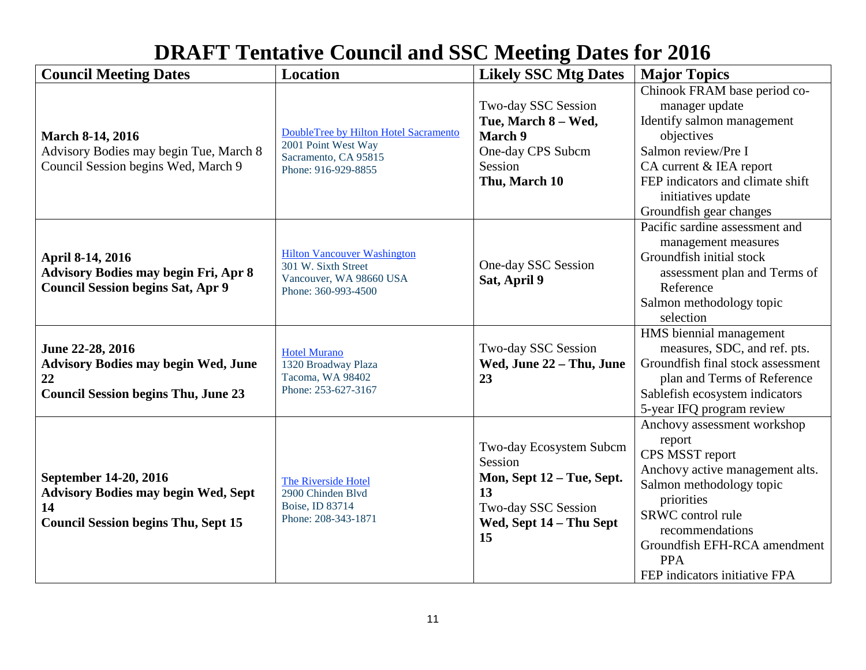# **DRAFT Tentative Council and SSC Meeting Dates for 2016**

| <b>Council Meeting Dates</b>                                                                                            | <b>Location</b>                                                                                             | <b>Likely SSC Mtg Dates</b>                                                                                                   | <b>Major Topics</b>                                                                                                                                                                                                                                          |
|-------------------------------------------------------------------------------------------------------------------------|-------------------------------------------------------------------------------------------------------------|-------------------------------------------------------------------------------------------------------------------------------|--------------------------------------------------------------------------------------------------------------------------------------------------------------------------------------------------------------------------------------------------------------|
| <b>March 8-14, 2016</b><br>Advisory Bodies may begin Tue, March 8<br>Council Session begins Wed, March 9                | DoubleTree by Hilton Hotel Sacramento<br>2001 Point West Way<br>Sacramento, CA 95815<br>Phone: 916-929-8855 | Two-day SSC Session<br>Tue, March 8 - Wed,<br>March 9<br>One-day CPS Subcm<br>Session<br>Thu, March 10                        | Chinook FRAM base period co-<br>manager update<br>Identify salmon management<br>objectives<br>Salmon review/Pre I<br>CA current & IEA report<br>FEP indicators and climate shift<br>initiatives update<br>Groundfish gear changes                            |
| April 8-14, 2016<br><b>Advisory Bodies may begin Fri, Apr 8</b><br><b>Council Session begins Sat, Apr 9</b>             | <b>Hilton Vancouver Washington</b><br>301 W. Sixth Street<br>Vancouver, WA 98660 USA<br>Phone: 360-993-4500 | One-day SSC Session<br>Sat, April 9                                                                                           | Pacific sardine assessment and<br>management measures<br>Groundfish initial stock<br>assessment plan and Terms of<br>Reference<br>Salmon methodology topic<br>selection                                                                                      |
| June 22-28, 2016<br><b>Advisory Bodies may begin Wed, June</b><br>22<br><b>Council Session begins Thu, June 23</b>      | <b>Hotel Murano</b><br>1320 Broadway Plaza<br>Tacoma, WA 98402<br>Phone: 253-627-3167                       | Two-day SSC Session<br>Wed, June 22 - Thu, June<br>23                                                                         | <b>HMS</b> biennial management<br>measures, SDC, and ref. pts.<br>Groundfish final stock assessment<br>plan and Terms of Reference<br>Sablefish ecosystem indicators<br>5-year IFQ program review                                                            |
| September 14-20, 2016<br><b>Advisory Bodies may begin Wed, Sept</b><br>14<br><b>Council Session begins Thu, Sept 15</b> | The Riverside Hotel<br>2900 Chinden Blvd<br>Boise, ID 83714<br>Phone: 208-343-1871                          | Two-day Ecosystem Subcm<br>Session<br>Mon, Sept 12 - Tue, Sept.<br>13<br>Two-day SSC Session<br>Wed, Sept 14 - Thu Sept<br>15 | Anchovy assessment workshop<br>report<br>CPS MSST report<br>Anchovy active management alts.<br>Salmon methodology topic<br>priorities<br>SRWC control rule<br>recommendations<br>Groundfish EFH-RCA amendment<br><b>PPA</b><br>FEP indicators initiative FPA |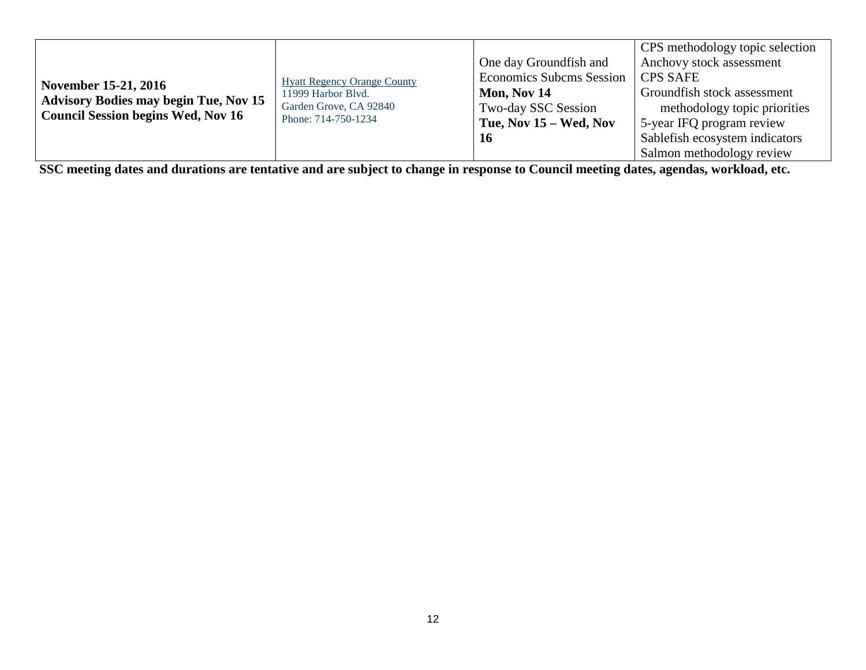|                                                                                           |                                    |                                 | CPS methodology topic selection |
|-------------------------------------------------------------------------------------------|------------------------------------|---------------------------------|---------------------------------|
|                                                                                           |                                    | One day Groundfish and          | Anchovy stock assessment        |
| November 15-21, 2016                                                                      | <b>Hyatt Regency Orange County</b> | <b>Economics Subcms Session</b> | <b>CPS SAFE</b>                 |
|                                                                                           | 11999 Harbor Blvd.                 | Mon, Nov 14                     | Groundfish stock assessment     |
| <b>Advisory Bodies may begin Tue, Nov 15</b><br><b>Council Session begins Wed, Nov 16</b> | Garden Grove, CA 92840             | Two-day SSC Session             | methodology topic priorities    |
|                                                                                           | Phone: 714-750-1234                | Tue, Nov $15 - Wed$ , Nov       | 5-year IFQ program review       |
|                                                                                           |                                    | 16                              | Sablefish ecosystem indicators  |
|                                                                                           |                                    |                                 | Salmon methodology review       |

**SSC meeting dates and durations are tentative and are subject to change in response to Council meeting dates, agendas, workload, etc.**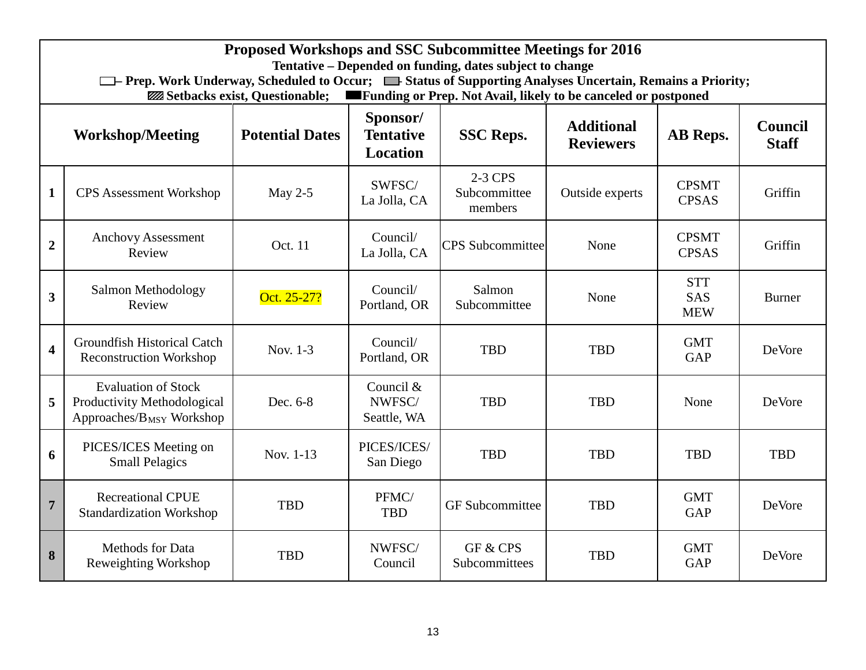|                         | Proposed Workshops and SSC Subcommittee Meetings for 2016<br>Tentative – Depended on funding, dates subject to change<br><sup>1</sup> The Prep. Work Underway, Scheduled to Occur; <sup>1</sup> Status of Supporting Analyses Uncertain, Remains a Priority;<br><b>Example 5 Funding or Prep. Not Avail, likely to be canceled or postponed</b><br><b>ZZZ</b> Setbacks exist, Questionable; |             |                                    |                                    |                              |                                        |               |  |  |  |  |  |  |  |  |
|-------------------------|---------------------------------------------------------------------------------------------------------------------------------------------------------------------------------------------------------------------------------------------------------------------------------------------------------------------------------------------------------------------------------------------|-------------|------------------------------------|------------------------------------|------------------------------|----------------------------------------|---------------|--|--|--|--|--|--|--|--|
|                         | Sponsor/<br><b>Additional</b><br><b>Council</b><br><b>Potential Dates</b><br><b>Tentative</b><br>AB Reps.<br><b>Workshop/Meeting</b><br><b>SSC Reps.</b><br><b>Staff</b><br><b>Reviewers</b><br><b>Location</b>                                                                                                                                                                             |             |                                    |                                    |                              |                                        |               |  |  |  |  |  |  |  |  |
| $\mathbf{1}$            | <b>CPS</b> Assessment Workshop                                                                                                                                                                                                                                                                                                                                                              | May $2-5$   | SWFSC/<br>La Jolla, CA             | 2-3 CPS<br>Subcommittee<br>members | Outside experts              | <b>CPSMT</b><br><b>CPSAS</b>           | Griffin       |  |  |  |  |  |  |  |  |
| $\overline{2}$          | <b>Anchovy Assessment</b><br>Review                                                                                                                                                                                                                                                                                                                                                         | Oct. 11     | <b>CPS</b> Subcommittee            | None                               | <b>CPSMT</b><br><b>CPSAS</b> | Griffin                                |               |  |  |  |  |  |  |  |  |
| $\overline{\mathbf{3}}$ | Salmon Methodology<br>Review                                                                                                                                                                                                                                                                                                                                                                | Oct. 25-27? | Council/<br>Portland, OR           | Salmon<br>Subcommittee             | None                         | <b>STT</b><br><b>SAS</b><br><b>MEW</b> | <b>Burner</b> |  |  |  |  |  |  |  |  |
| $\overline{\mathbf{4}}$ | Groundfish Historical Catch<br><b>Reconstruction Workshop</b>                                                                                                                                                                                                                                                                                                                               | Nov. 1-3    | Council/<br>Portland, OR           | <b>TBD</b>                         | <b>TBD</b>                   | <b>GMT</b><br><b>GAP</b>               | DeVore        |  |  |  |  |  |  |  |  |
| 5                       | <b>Evaluation of Stock</b><br>Productivity Methodological<br>Approaches/ $B_{MSY}$ Workshop                                                                                                                                                                                                                                                                                                 | Dec. 6-8    | Council &<br>NWFSC/<br>Seattle, WA | <b>TBD</b>                         | <b>TBD</b>                   | None                                   | <b>DeVore</b> |  |  |  |  |  |  |  |  |
| 6                       | PICES/ICES Meeting on<br><b>Small Pelagics</b>                                                                                                                                                                                                                                                                                                                                              | Nov. 1-13   | PICES/ICES/<br>San Diego           | <b>TBD</b>                         | <b>TBD</b>                   | <b>TBD</b>                             | <b>TBD</b>    |  |  |  |  |  |  |  |  |
| $\overline{7}$          | <b>Recreational CPUE</b><br><b>Standardization Workshop</b>                                                                                                                                                                                                                                                                                                                                 | <b>TBD</b>  | PFMC/<br><b>TBD</b>                | <b>GF</b> Subcommittee             | <b>TBD</b>                   | <b>GMT</b><br><b>GAP</b>               | DeVore        |  |  |  |  |  |  |  |  |
| 8                       | Methods for Data<br>Reweighting Workshop                                                                                                                                                                                                                                                                                                                                                    | <b>TBD</b>  | NWFSC/<br>Council                  | GF & CPS<br>Subcommittees          | <b>TBD</b>                   | <b>GMT</b><br><b>GAP</b>               | DeVore        |  |  |  |  |  |  |  |  |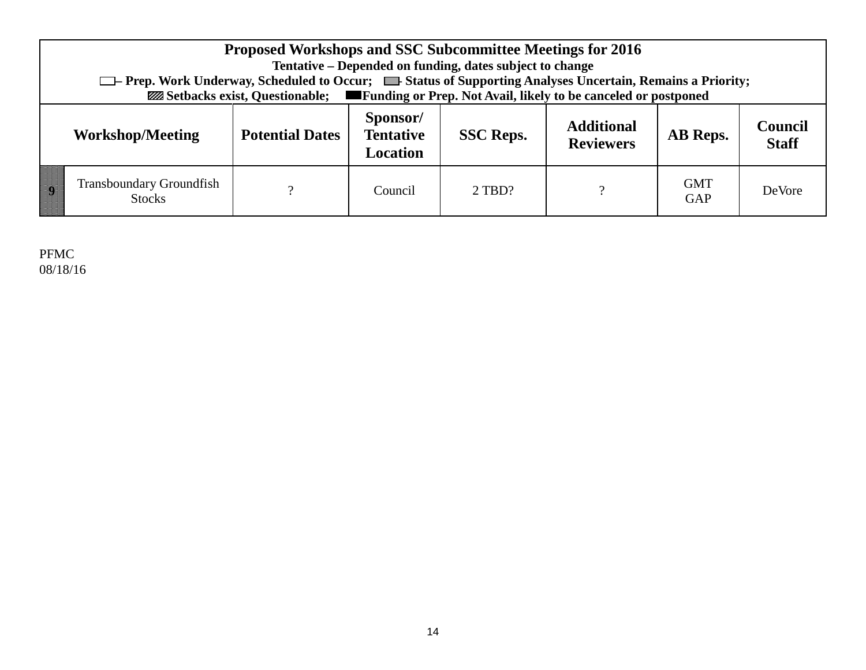|                                                                                                             | □ Prep. Work Underway, Scheduled to Occur; ■ Status of Supporting Analyses Uncertain, Remains a Priority; | <b>Proposed Workshops and SSC Subcommittee Meetings for 2016</b><br><b>EXAMELECTE:</b> Funding or Prep. Not Avail, likely to be canceled or postponed |                                                 | Tentative – Depended on funding, dates subject to change |                                       |          |                                |  |  |  |  |  |  |
|-------------------------------------------------------------------------------------------------------------|-----------------------------------------------------------------------------------------------------------|-------------------------------------------------------------------------------------------------------------------------------------------------------|-------------------------------------------------|----------------------------------------------------------|---------------------------------------|----------|--------------------------------|--|--|--|--|--|--|
|                                                                                                             | <b>Workshop/Meeting</b>                                                                                   | <b>Potential Dates</b>                                                                                                                                | Sponsor/<br><b>Tentative</b><br><b>Location</b> | <b>SSC Reps.</b>                                         | <b>Additional</b><br><b>Reviewers</b> | AB Reps. | <b>Council</b><br><b>Staff</b> |  |  |  |  |  |  |
| <b>Transboundary Groundfish</b><br><b>GMT</b><br>റ<br>DeVore<br>$2$ TBD?<br>Council<br>GAP<br><b>Stocks</b> |                                                                                                           |                                                                                                                                                       |                                                 |                                                          |                                       |          |                                |  |  |  |  |  |  |

PFMC 08/18/16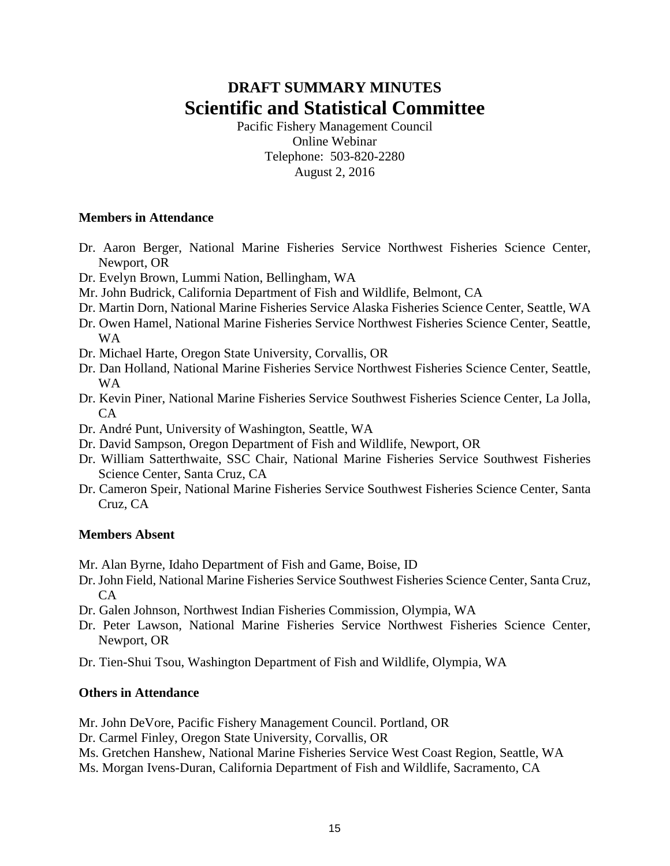# **DRAFT SUMMARY MINUTES Scientific and Statistical Committee**

Pacific Fishery Management Council Online Webinar Telephone: 503-820-2280 August 2, 2016

### **Members in Attendance**

- Dr. Aaron Berger, National Marine Fisheries Service Northwest Fisheries Science Center, Newport, OR
- Dr. Evelyn Brown, Lummi Nation, Bellingham, WA
- Mr. John Budrick, California Department of Fish and Wildlife, Belmont, CA
- Dr. Martin Dorn, National Marine Fisheries Service Alaska Fisheries Science Center, Seattle, WA
- Dr. Owen Hamel, National Marine Fisheries Service Northwest Fisheries Science Center, Seattle, WA
- Dr. Michael Harte, Oregon State University, Corvallis, OR
- Dr. Dan Holland, National Marine Fisheries Service Northwest Fisheries Science Center, Seattle, WA
- Dr. Kevin Piner, National Marine Fisheries Service Southwest Fisheries Science Center, La Jolla, CA
- Dr. André Punt, University of Washington, Seattle, WA
- Dr. David Sampson, Oregon Department of Fish and Wildlife, Newport, OR
- Dr. William Satterthwaite, SSC Chair, National Marine Fisheries Service Southwest Fisheries Science Center, Santa Cruz, CA
- Dr. Cameron Speir, National Marine Fisheries Service Southwest Fisheries Science Center, Santa Cruz, CA

### **Members Absent**

Mr. Alan Byrne, Idaho Department of Fish and Game, Boise, ID

- Dr. John Field, National Marine Fisheries Service Southwest Fisheries Science Center, Santa Cruz,  $CA$
- Dr. Galen Johnson, Northwest Indian Fisheries Commission, Olympia, WA
- Dr. Peter Lawson, National Marine Fisheries Service Northwest Fisheries Science Center, Newport, OR
- Dr. Tien-Shui Tsou, Washington Department of Fish and Wildlife, Olympia, WA

#### **Others in Attendance**

Mr. John DeVore, Pacific Fishery Management Council. Portland, OR

Dr. Carmel Finley, Oregon State University, Corvallis, OR

Ms. Gretchen Hanshew, National Marine Fisheries Service West Coast Region, Seattle, WA

Ms. Morgan Ivens-Duran, California Department of Fish and Wildlife, Sacramento, CA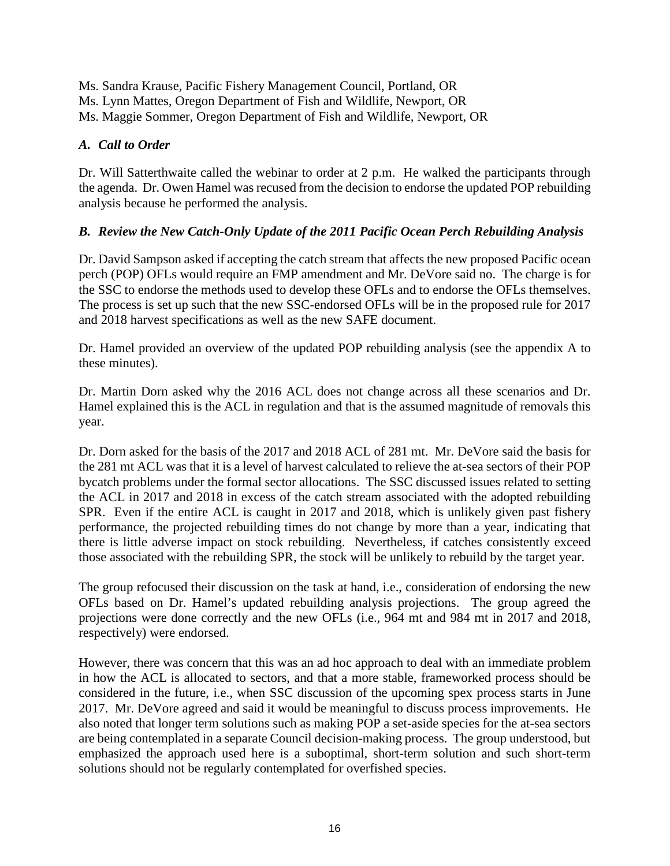Ms. Sandra Krause, Pacific Fishery Management Council, Portland, OR Ms. Lynn Mattes, Oregon Department of Fish and Wildlife, Newport, OR Ms. Maggie Sommer, Oregon Department of Fish and Wildlife, Newport, OR

# *A. Call to Order*

Dr. Will Satterthwaite called the webinar to order at 2 p.m. He walked the participants through the agenda. Dr. Owen Hamel was recused from the decision to endorse the updated POP rebuilding analysis because he performed the analysis.

# *B. Review the New Catch-Only Update of the 2011 Pacific Ocean Perch Rebuilding Analysis*

Dr. David Sampson asked if accepting the catch stream that affects the new proposed Pacific ocean perch (POP) OFLs would require an FMP amendment and Mr. DeVore said no. The charge is for the SSC to endorse the methods used to develop these OFLs and to endorse the OFLs themselves. The process is set up such that the new SSC-endorsed OFLs will be in the proposed rule for 2017 and 2018 harvest specifications as well as the new SAFE document.

Dr. Hamel provided an overview of the updated POP rebuilding analysis (see the appendix A to these minutes).

Dr. Martin Dorn asked why the 2016 ACL does not change across all these scenarios and Dr. Hamel explained this is the ACL in regulation and that is the assumed magnitude of removals this year.

Dr. Dorn asked for the basis of the 2017 and 2018 ACL of 281 mt. Mr. DeVore said the basis for the 281 mt ACL was that it is a level of harvest calculated to relieve the at-sea sectors of their POP bycatch problems under the formal sector allocations. The SSC discussed issues related to setting the ACL in 2017 and 2018 in excess of the catch stream associated with the adopted rebuilding SPR. Even if the entire ACL is caught in 2017 and 2018, which is unlikely given past fishery performance, the projected rebuilding times do not change by more than a year, indicating that there is little adverse impact on stock rebuilding. Nevertheless, if catches consistently exceed those associated with the rebuilding SPR, the stock will be unlikely to rebuild by the target year.

The group refocused their discussion on the task at hand, i.e., consideration of endorsing the new OFLs based on Dr. Hamel's updated rebuilding analysis projections. The group agreed the projections were done correctly and the new OFLs (i.e., 964 mt and 984 mt in 2017 and 2018, respectively) were endorsed.

However, there was concern that this was an ad hoc approach to deal with an immediate problem in how the ACL is allocated to sectors, and that a more stable, frameworked process should be considered in the future, i.e., when SSC discussion of the upcoming spex process starts in June 2017. Mr. DeVore agreed and said it would be meaningful to discuss process improvements. He also noted that longer term solutions such as making POP a set-aside species for the at-sea sectors are being contemplated in a separate Council decision-making process. The group understood, but emphasized the approach used here is a suboptimal, short-term solution and such short-term solutions should not be regularly contemplated for overfished species.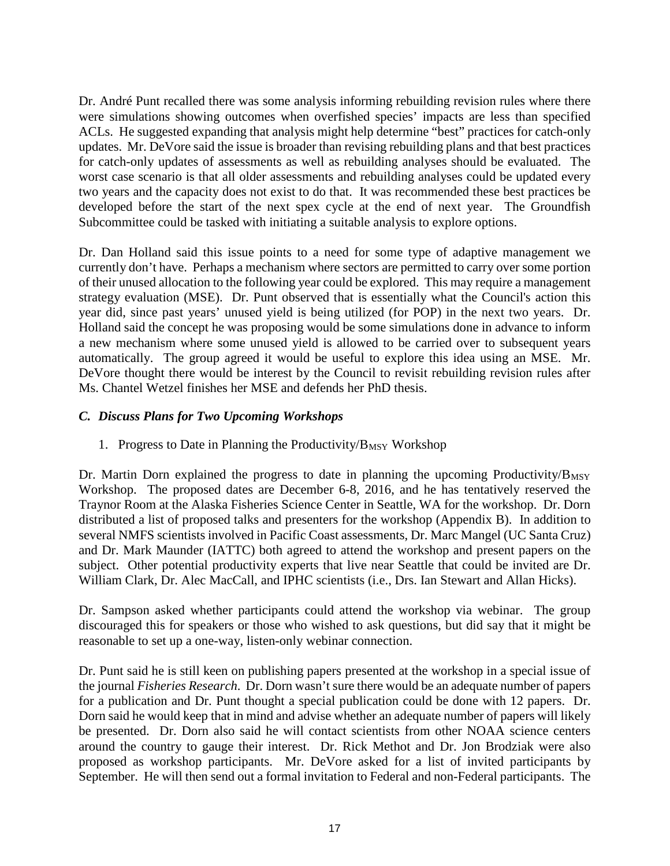Dr. André Punt recalled there was some analysis informing rebuilding revision rules where there were simulations showing outcomes when overfished species' impacts are less than specified ACLs. He suggested expanding that analysis might help determine "best" practices for catch-only updates. Mr. DeVore said the issue is broader than revising rebuilding plans and that best practices for catch-only updates of assessments as well as rebuilding analyses should be evaluated. The worst case scenario is that all older assessments and rebuilding analyses could be updated every two years and the capacity does not exist to do that. It was recommended these best practices be developed before the start of the next spex cycle at the end of next year. The Groundfish Subcommittee could be tasked with initiating a suitable analysis to explore options.

Dr. Dan Holland said this issue points to a need for some type of adaptive management we currently don't have. Perhaps a mechanism where sectors are permitted to carry over some portion of their unused allocation to the following year could be explored. This may require a management strategy evaluation (MSE). Dr. Punt observed that is essentially what the Council's action this year did, since past years' unused yield is being utilized (for POP) in the next two years. Dr. Holland said the concept he was proposing would be some simulations done in advance to inform a new mechanism where some unused yield is allowed to be carried over to subsequent years automatically. The group agreed it would be useful to explore this idea using an MSE. Mr. DeVore thought there would be interest by the Council to revisit rebuilding revision rules after Ms. Chantel Wetzel finishes her MSE and defends her PhD thesis.

# *C. Discuss Plans for Two Upcoming Workshops*

1. Progress to Date in Planning the Productivity/ $B_{MSY}$  Workshop

Dr. Martin Dorn explained the progress to date in planning the upcoming Productivity/ $B_{MSY}$ Workshop. The proposed dates are December 6-8, 2016, and he has tentatively reserved the Traynor Room at the Alaska Fisheries Science Center in Seattle, WA for the workshop. Dr. Dorn distributed a list of proposed talks and presenters for the workshop (Appendix B). In addition to several NMFS scientists involved in Pacific Coast assessments, Dr. Marc Mangel (UC Santa Cruz) and Dr. Mark Maunder (IATTC) both agreed to attend the workshop and present papers on the subject. Other potential productivity experts that live near Seattle that could be invited are Dr. William Clark, Dr. Alec MacCall, and IPHC scientists (i.e., Drs. Ian Stewart and Allan Hicks).

Dr. Sampson asked whether participants could attend the workshop via webinar. The group discouraged this for speakers or those who wished to ask questions, but did say that it might be reasonable to set up a one-way, listen-only webinar connection.

Dr. Punt said he is still keen on publishing papers presented at the workshop in a special issue of the journal *Fisheries Research*. Dr. Dorn wasn't sure there would be an adequate number of papers for a publication and Dr. Punt thought a special publication could be done with 12 papers. Dr. Dorn said he would keep that in mind and advise whether an adequate number of papers will likely be presented. Dr. Dorn also said he will contact scientists from other NOAA science centers around the country to gauge their interest. Dr. Rick Methot and Dr. Jon Brodziak were also proposed as workshop participants. Mr. DeVore asked for a list of invited participants by September. He will then send out a formal invitation to Federal and non-Federal participants. The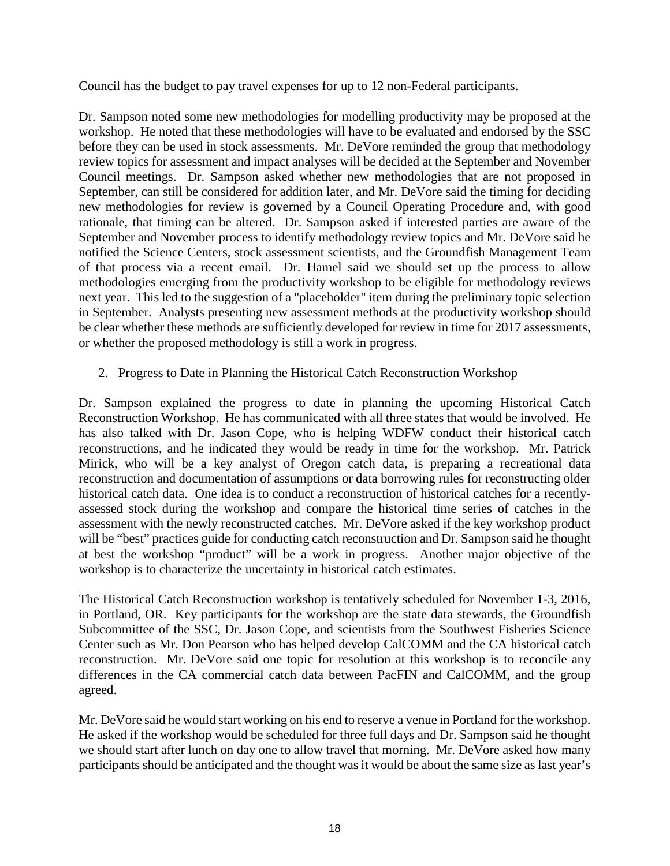Council has the budget to pay travel expenses for up to 12 non-Federal participants.

Dr. Sampson noted some new methodologies for modelling productivity may be proposed at the workshop. He noted that these methodologies will have to be evaluated and endorsed by the SSC before they can be used in stock assessments. Mr. DeVore reminded the group that methodology review topics for assessment and impact analyses will be decided at the September and November Council meetings. Dr. Sampson asked whether new methodologies that are not proposed in September, can still be considered for addition later, and Mr. DeVore said the timing for deciding new methodologies for review is governed by a Council Operating Procedure and, with good rationale, that timing can be altered. Dr. Sampson asked if interested parties are aware of the September and November process to identify methodology review topics and Mr. DeVore said he notified the Science Centers, stock assessment scientists, and the Groundfish Management Team of that process via a recent email. Dr. Hamel said we should set up the process to allow methodologies emerging from the productivity workshop to be eligible for methodology reviews next year. This led to the suggestion of a "placeholder" item during the preliminary topic selection in September. Analysts presenting new assessment methods at the productivity workshop should be clear whether these methods are sufficiently developed for review in time for 2017 assessments, or whether the proposed methodology is still a work in progress.

# 2. Progress to Date in Planning the Historical Catch Reconstruction Workshop

Dr. Sampson explained the progress to date in planning the upcoming Historical Catch Reconstruction Workshop. He has communicated with all three states that would be involved. He has also talked with Dr. Jason Cope, who is helping WDFW conduct their historical catch reconstructions, and he indicated they would be ready in time for the workshop. Mr. Patrick Mirick, who will be a key analyst of Oregon catch data, is preparing a recreational data reconstruction and documentation of assumptions or data borrowing rules for reconstructing older historical catch data. One idea is to conduct a reconstruction of historical catches for a recentlyassessed stock during the workshop and compare the historical time series of catches in the assessment with the newly reconstructed catches. Mr. DeVore asked if the key workshop product will be "best" practices guide for conducting catch reconstruction and Dr. Sampson said he thought at best the workshop "product" will be a work in progress. Another major objective of the workshop is to characterize the uncertainty in historical catch estimates.

The Historical Catch Reconstruction workshop is tentatively scheduled for November 1-3, 2016, in Portland, OR. Key participants for the workshop are the state data stewards, the Groundfish Subcommittee of the SSC, Dr. Jason Cope, and scientists from the Southwest Fisheries Science Center such as Mr. Don Pearson who has helped develop CalCOMM and the CA historical catch reconstruction. Mr. DeVore said one topic for resolution at this workshop is to reconcile any differences in the CA commercial catch data between PacFIN and CalCOMM, and the group agreed.

Mr. DeVore said he would start working on his end to reserve a venue in Portland for the workshop. He asked if the workshop would be scheduled for three full days and Dr. Sampson said he thought we should start after lunch on day one to allow travel that morning. Mr. DeVore asked how many participants should be anticipated and the thought was it would be about the same size as last year's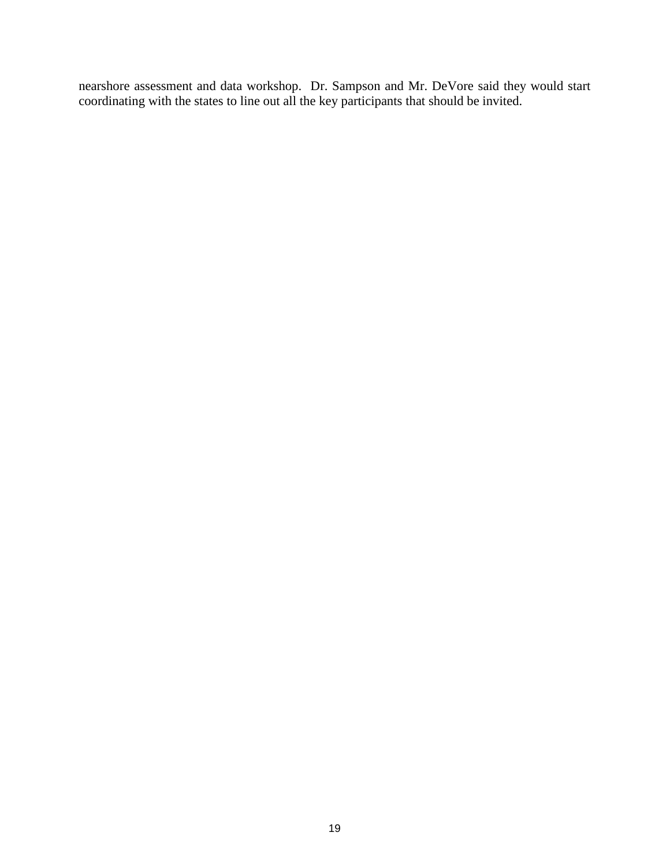nearshore assessment and data workshop. Dr. Sampson and Mr. DeVore said they would start coordinating with the states to line out all the key participants that should be invited.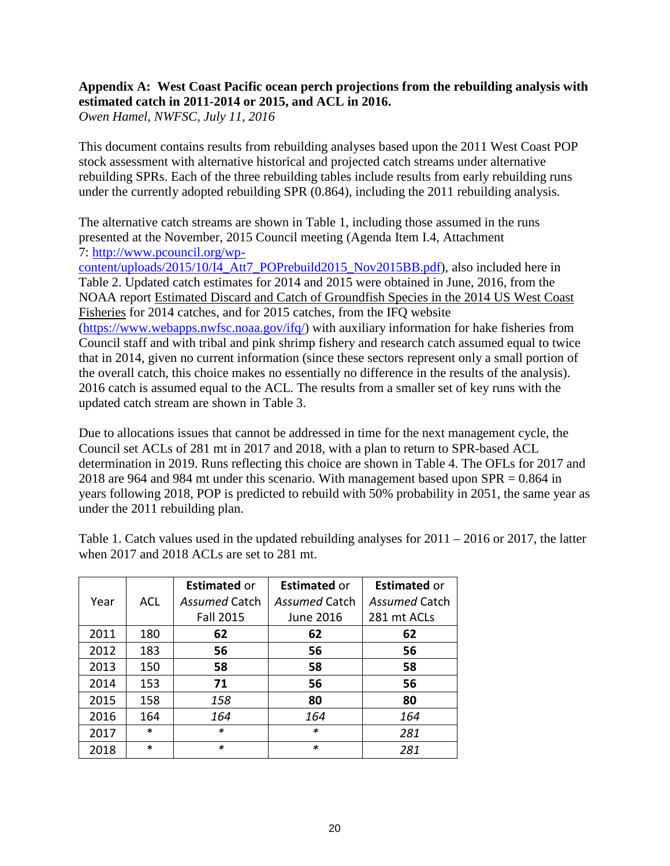# **Appendix A: West Coast Pacific ocean perch projections from the rebuilding analysis with estimated catch in 2011-2014 or 2015, and ACL in 2016.**

*Owen Hamel, NWFSC, July 11, 2016*

This document contains results from rebuilding analyses based upon the 2011 West Coast POP stock assessment with alternative historical and projected catch streams under alternative rebuilding SPRs. Each of the three rebuilding tables include results from early rebuilding runs under the currently adopted rebuilding SPR (0.864), including the 2011 rebuilding analysis.

The alternative catch streams are shown in Table 1, including those assumed in the runs presented at the November, 2015 Council meeting (Agenda Item I.4, Attachment 7: [http://www.pcouncil.org/wp-](http://www.pcouncil.org/wp-content/uploads/2015/10/I4_Att7_POPrebuild2015_Nov2015BB.pdf)

[content/uploads/2015/10/I4\\_Att7\\_POPrebuild2015\\_Nov2015BB.pdf\)](http://www.pcouncil.org/wp-content/uploads/2015/10/I4_Att7_POPrebuild2015_Nov2015BB.pdf), also included here in Table 2. Updated catch estimates for 2014 and 2015 were obtained in June, 2016, from the NOAA report Estimated Discard and Catch of Groundfish Species in the 2014 US West Coast Fisheries for 2014 catches, and for 2015 catches, from the IFQ website [\(https://www.webapps.nwfsc.noaa.gov/ifq/\)](https://www.webapps.nwfsc.noaa.gov/ifq/) with auxiliary information for hake fisheries from Council staff and with tribal and pink shrimp fishery and research catch assumed equal to twice that in 2014, given no current information (since these sectors represent only a small portion of the overall catch, this choice makes no essentially no difference in the results of the analysis). 2016 catch is assumed equal to the ACL. The results from a smaller set of key runs with the updated catch stream are shown in Table 3.

Due to allocations issues that cannot be addressed in time for the next management cycle, the Council set ACLs of 281 mt in 2017 and 2018, with a plan to return to SPR-based ACL determination in 2019. Runs reflecting this choice are shown in Table 4. The OFLs for 2017 and 2018 are 964 and 984 mt under this scenario. With management based upon SPR = 0.864 in years following 2018, POP is predicted to rebuild with 50% probability in 2051, the same year as under the 2011 rebuilding plan.

|      |            | <b>Estimated or</b> | <b>Estimated or</b>  | <b>Estimated or</b> |
|------|------------|---------------------|----------------------|---------------------|
| Year | <b>ACL</b> | Assumed Catch       | <b>Assumed Catch</b> | Assumed Catch       |
|      |            | <b>Fall 2015</b>    | June 2016            | 281 mt ACLs         |
| 2011 | 180        | 62                  | 62                   | 62                  |
| 2012 | 183        | 56                  | 56                   | 56                  |
| 2013 | 150        | 58                  | 58                   | 58                  |
| 2014 | 153        | 71                  | 56                   | 56                  |
| 2015 | 158        | 158                 | 80                   | 80                  |
| 2016 | 164        | 164                 | 164                  | 164                 |
| 2017 | $\ast$     | *                   | $\ast$               | 281                 |
| 2018 | *          | *                   | *                    | 281                 |

Table 1. Catch values used in the updated rebuilding analyses for 2011 – 2016 or 2017, the latter when 2017 and 2018 ACLs are set to 281 mt.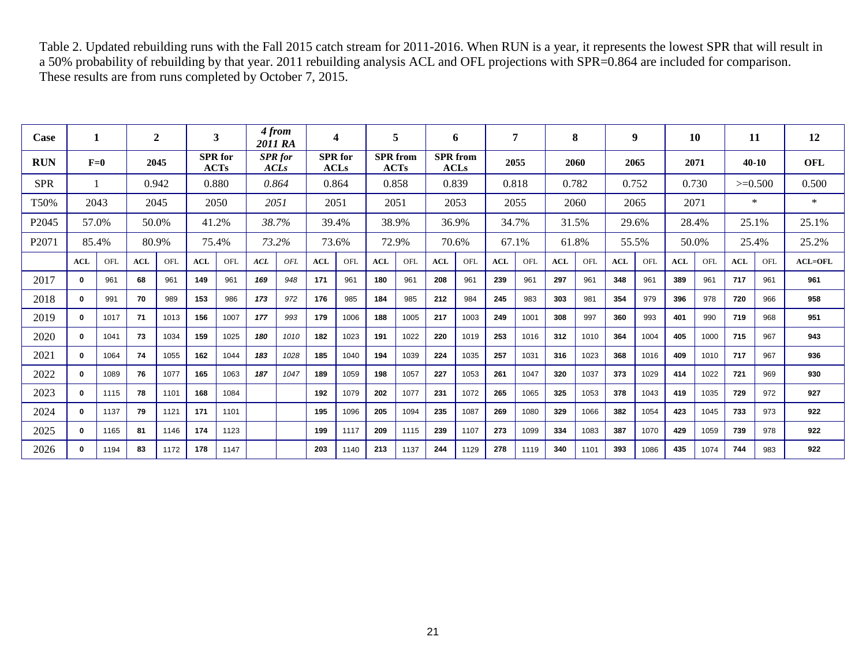Table 2. Updated rebuilding runs with the Fall 2015 catch stream for 2011-2016. When RUN is a year, it represents the lowest SPR that will result in a 50% probability of rebuilding by that year. 2011 rebuilding analysis ACL and OFL projections with SPR=0.864 are included for comparison. These results are from runs completed by October 7, 2015.

| Case              |            |      |     | $\overline{2}$ |            | 3                             |     | 4 from<br>2011 RA             |            | $\overline{\mathbf{4}}$       |     | 5                                                         |            | 6     |            |       |      | 8     |            | 9     |            | 10        |            | 11         | 12          |
|-------------------|------------|------|-----|----------------|------------|-------------------------------|-----|-------------------------------|------------|-------------------------------|-----|-----------------------------------------------------------|------------|-------|------------|-------|------|-------|------------|-------|------------|-----------|------------|------------|-------------|
| <b>RUN</b>        | $F=0$      |      |     | 2045           |            | <b>SPR</b> for<br><b>ACTs</b> |     | <b>SPR</b> for<br><b>ACLs</b> |            | <b>SPR</b> for<br><b>ACLs</b> |     | <b>SPR</b> from<br><b>SPR</b> from<br>ACTs<br><b>ACLs</b> |            |       | 2055       |       | 2060 |       | 2065       | 2071  |            | $40 - 10$ |            | <b>OFL</b> |             |
| <b>SPR</b>        |            |      |     | 0.942          |            | 0.880                         |     | 0.864                         |            | 0.864                         |     | 0.858                                                     |            | 0.839 |            | 0.818 |      | 0.782 |            | 0.752 |            | 0.730     |            | $>=0.500$  | 0.500       |
| T50%              | 2043       |      |     | 2045           |            | 2050                          |     | 2051                          |            | 2051                          |     | 2051                                                      |            | 2053  |            | 2055  |      | 2060  |            | 2065  | 2071       |           |            | $\ast$     | $\ast$      |
| P2045             | 57.0%      |      |     | 50.0%          |            | 41.2%                         |     | 38.7%                         |            | 39.4%                         |     | 38.9%                                                     |            | 36.9% |            | 34.7% |      | 31.5% |            | 29.6% |            | 28.4%     |            | 25.1%      | 25.1%       |
| P <sub>2071</sub> | 85.4%      |      |     | 80.9%          |            | 75.4%                         |     | 73.2%                         |            | 73.6%                         |     | 72.9%                                                     |            | 70.6% |            | 67.1% |      | 61.8% |            | 55.5% |            | 50.0%     |            | 25.4%      | 25.2%       |
|                   | <b>ACL</b> | OFL  | ACL | OFL            | <b>ACL</b> | OFL                           | ACL | OFL                           | <b>ACL</b> | OFL.                          | ACL | OFL                                                       | <b>ACL</b> | OFL.  | <b>ACL</b> | OFL.  | ACL  | OFL.  | <b>ACL</b> | OFL   | <b>ACL</b> | OFL.      | <b>ACL</b> | OFL        | $ACL = OFL$ |
| 2017              | 0          | 961  | 68  | 961            | 149        | 961                           | 169 | 948                           | 171        | 961                           | 180 | 961                                                       | 208        | 961   | 239        | 961   | 297  | 961   | 348        | 961   | 389        | 961       | 717        | 961        | 961         |
| 2018              | 0          | 991  | 70  | 989            | 153        | 986                           | 173 | 972                           | 176        | 985                           | 184 | 985                                                       | 212        | 984   | 245        | 983   | 303  | 981   | 354        | 979   | 396        | 978       | 720        | 966        | 958         |
| 2019              | $\bf{0}$   | 1017 | 71  | 1013           | 156        | 1007                          | 177 | 993                           | 179        | 1006                          | 188 | 1005                                                      | 217        | 1003  | 249        | 1001  | 308  | 997   | 360        | 993   | 401        | 990       | 719        | 968        | 951         |
| 2020              | 0          | 1041 | 73  | 1034           | 159        | 1025                          | 180 | 1010                          | 182        | 1023                          | 191 | 1022                                                      | 220        | 1019  | 253        | 1016  | 312  | 1010  | 364        | 1004  | 405        | 1000      | 715        | 967        | 943         |
| 2021              | $\bf{0}$   | 1064 | 74  | 1055           | 162        | 1044                          | 183 | 1028                          | 185        | 1040                          | 194 | 1039                                                      | 224        | 1035  | 257        | 1031  | 316  | 1023  | 368        | 1016  | 409        | 1010      | 717        | 967        | 936         |
| 2022              | $\bf{0}$   | 1089 | 76  | 1077           | 165        | 1063                          | 187 | 1047                          | 189        | 1059                          | 198 | 1057                                                      | 227        | 1053  | 261        | 1047  | 320  | 1037  | 373        | 1029  | 414        | 1022      | 721        | 969        | 930         |
| 2023              | $\Omega$   | 1115 | 78  | 1101           | 168        | 1084                          |     |                               | 192        | 1079                          | 202 | 1077                                                      | 231        | 1072  | 265        | 1065  | 325  | 1053  | 378        | 1043  | 419        | 1035      | 729        | 972        | 927         |
| 2024              | $\Omega$   | 1137 | 79  | 1121           | 171        | 1101                          |     |                               | 195        | 1096                          | 205 | 1094                                                      | 235        | 1087  | 269        | 1080  | 329  | 1066  | 382        | 1054  | 423        | 1045      | 733        | 973        | 922         |
| 2025              | 0          | 1165 | 81  | 1146           | 174        | 1123                          |     |                               | 199        | 1117                          | 209 | 1115                                                      | 239        | 1107  | 273        | 1099  | 334  | 1083  | 387        | 1070  | 429        | 1059      | 739        | 978        | 922         |
| 2026              | 0          | 1194 | 83  | 1172           | 178        | 1147                          |     |                               | 203        | 1140                          | 213 | 1137                                                      | 244        | 1129  | 278        | 1119  | 340  | 1101  | 393        | 1086  | 435        | 1074      | 744        | 983        | 922         |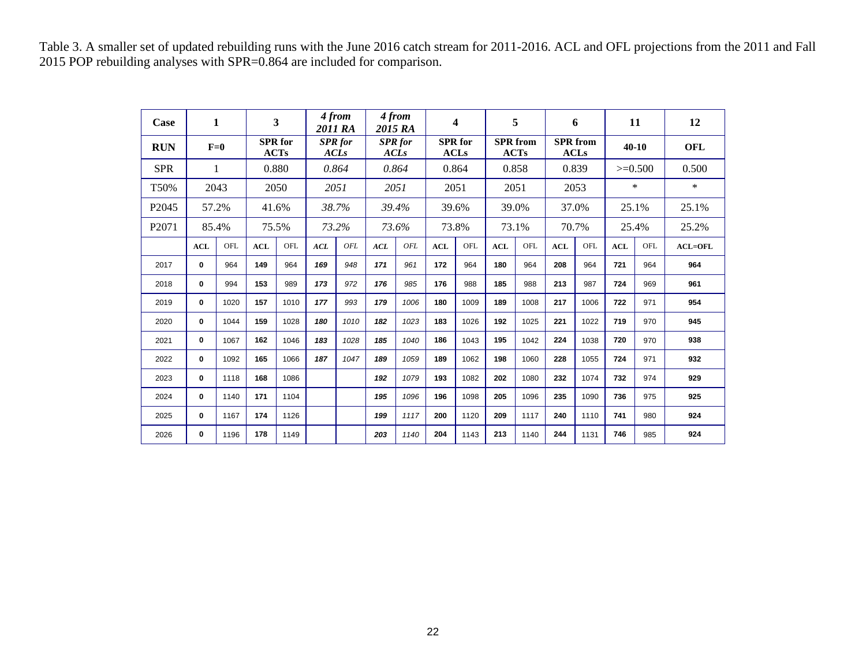Table 3. A smaller set of updated rebuilding runs with the June 2016 catch stream for 2011-2016. ACL and OFL projections from the 2011 and Fall 2015 POP rebuilding analyses with SPR=0.864 are included for comparison.

| Case              |              | 1            |       | 3                             |                               | 4 from<br>2011 RA |                               | 4 from<br>2015 RA |            | 4                             |            | 5                              |            | 6                              |            | 11        | 12          |
|-------------------|--------------|--------------|-------|-------------------------------|-------------------------------|-------------------|-------------------------------|-------------------|------------|-------------------------------|------------|--------------------------------|------------|--------------------------------|------------|-----------|-------------|
| <b>RUN</b>        |              | $F=0$        |       | <b>SPR</b> for<br><b>ACTs</b> | <b>SPR</b> for<br><b>ACLs</b> |                   | <b>SPR</b> for<br><b>ACLs</b> |                   |            | <b>SPR</b> for<br><b>ACLs</b> |            | <b>SPR</b> from<br><b>ACTs</b> |            | <b>SPR</b> from<br><b>ACLs</b> | $40 - 10$  |           | <b>OFL</b>  |
| <b>SPR</b>        |              | $\mathbf{1}$ | 0.880 |                               | 0.864                         |                   | 0.864                         |                   | 0.864      |                               | 0.858      |                                | 0.839      |                                |            | $>=0.500$ | 0.500       |
| T50%              |              | 2043         |       | 2050                          |                               | 2051              |                               | 2051              |            | 2051                          |            | 2051                           |            | 2053                           |            | $\ast$    | $\ast$      |
| P <sub>2045</sub> |              | 57.2%        | 41.6% |                               |                               | 38.7%             |                               | 39.4%             |            | 39.6%                         |            | 39.0%                          |            | 37.0%                          |            | 25.1%     | 25.1%       |
| P <sub>2071</sub> |              | 85.4%        |       | 75.5%                         |                               | 73.2%             |                               | 73.6%             |            | 73.8%                         |            | 73.1%                          |            | 70.7%                          | 25.4%      |           | 25.2%       |
|                   | <b>ACL</b>   | OFL          | ACL   | OFL                           | ACL                           | OFL               | ACL                           | OFL               | <b>ACL</b> | OFL                           | <b>ACL</b> | OFL                            | <b>ACL</b> | OFL                            | <b>ACL</b> | OFL       | $ACL = OFL$ |
| 2017              | $\mathbf{0}$ | 964          | 149   | 964                           | 169                           | 948               | 171                           | 961               | 172        | 964                           | 180        | 964                            | 208        | 964                            | 721        | 964       | 964         |
| 2018              | $\mathbf{0}$ | 994          | 153   | 989                           | 173                           | 972               | 176                           | 985               | 176        | 988                           | 185        | 988                            | 213        | 987                            | 724        | 969       | 961         |
| 2019              | 0            | 1020         | 157   | 1010                          | 177                           | 993               | 179                           | 1006              | 180        | 1009                          | 189        | 1008                           | 217        | 1006                           | 722        | 971       | 954         |
| 2020              | 0            | 1044         | 159   | 1028                          | 180                           | 1010              | 182                           | 1023              | 183        | 1026                          | 192        | 1025                           | 221        | 1022                           | 719        | 970       | 945         |
| 2021              | $\mathbf 0$  | 1067         | 162   | 1046                          | 183                           | 1028              | 185                           | 1040              | 186        | 1043                          | 195        | 1042                           | 224        | 1038                           | 720        | 970       | 938         |
| 2022              | 0            | 1092         | 165   | 1066                          | 187                           | 1047              | 189                           | 1059              | 189        | 1062                          | 198        | 1060                           | 228        | 1055                           | 724        | 971       | 932         |
| 2023              | $\bf{0}$     | 1118         | 168   | 1086                          |                               |                   | 192                           | 1079              | 193        | 1082                          | 202        | 1080                           | 232        | 1074                           | 732        | 974       | 929         |
| 2024              | $\bf{0}$     | 1140         | 171   | 1104                          |                               |                   | 195                           | 1096              | 196        | 1098                          | 205        | 1096                           | 235        | 1090                           | 736        | 975       | 925         |
| 2025              | $\bf{0}$     | 1167         | 174   | 1126                          |                               |                   | 199                           | 1117              | 200        | 1120                          | 209        | 1117                           | 240        | 1110                           | 741        | 980       | 924         |
| 2026              | 0            | 1196         | 178   | 1149                          |                               |                   | 203                           | 1140              | 204        | 1143                          | 213        | 1140                           | 244        | 1131                           | 746        | 985       | 924         |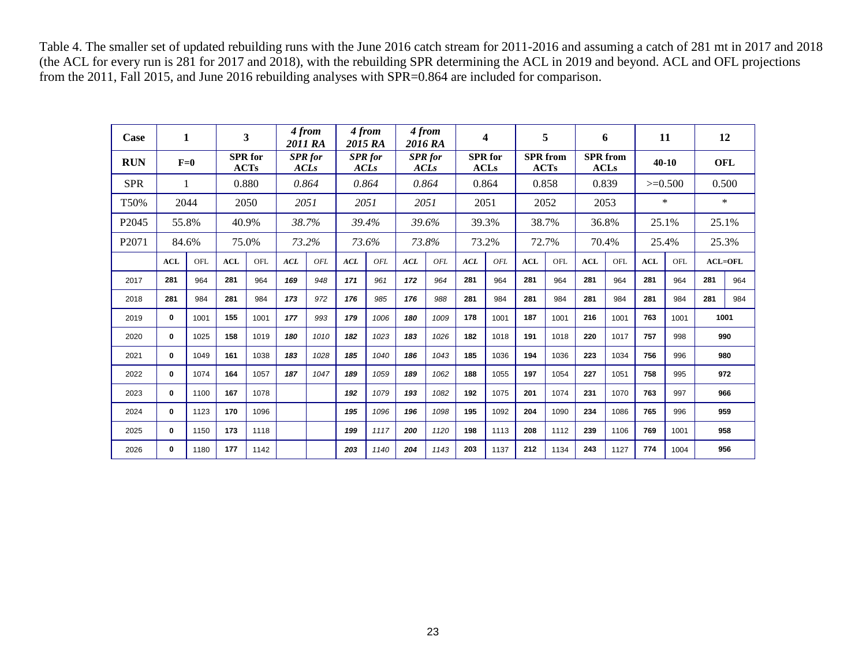Table 4. The smaller set of updated rebuilding runs with the June 2016 catch stream for 2011-2016 and assuming a catch of 281 mt in 2017 and 2018 (the ACL for every run is 281 for 2017 and 2018), with the rebuilding SPR determining the ACL in 2019 and beyond. ACL and OFL projections from the 2011, Fall 2015, and June 2016 rebuilding analyses with SPR=0.864 are included for comparison.

| Case              |              | 1     |            | 3                      | 2011 RA     | 4 from         |     | 4 from<br>2015 RA             |             | 4 from<br>2016 RA |            | $\overline{\mathbf{4}}$       |            | 5                              |     | 6                              |       | 11        |     | 12         |
|-------------------|--------------|-------|------------|------------------------|-------------|----------------|-----|-------------------------------|-------------|-------------------|------------|-------------------------------|------------|--------------------------------|-----|--------------------------------|-------|-----------|-----|------------|
| <b>RUN</b>        |              | $F=0$ |            | <b>SPR</b> for<br>ACTs | <b>ACLs</b> | <b>SPR</b> for |     | <b>SPR</b> for<br><b>ACLs</b> | <b>ACLs</b> | <b>SPR</b> for    |            | <b>SPR</b> for<br><b>ACLs</b> |            | <b>SPR</b> from<br><b>ACTs</b> |     | <b>SPR</b> from<br><b>ACLs</b> |       | $40 - 10$ |     | <b>OFL</b> |
| <b>SPR</b>        |              | 1     |            | 0.880                  |             | 0.864          |     | 0.864                         |             | 0.864             |            | 0.864                         |            | 0.858                          |     | 0.839                          |       | $>=0.500$ |     | 0.500      |
| T50%              |              | 2044  |            | 2050                   |             | 2051           |     | 2051                          |             | 2051              |            | 2051                          |            | 2052                           |     | 2053                           |       | $\ast$    |     | $\ast$     |
| P <sub>2045</sub> |              | 55.8% |            | 40.9%                  |             | 38.7%          |     | 39.4%                         |             | 39.6%             |            | 39.3%                         |            | 38.7%                          |     | 36.8%                          | 25.1% |           |     | 25.1%      |
| P <sub>2071</sub> |              | 84.6% |            | 75.0%                  |             | 73.2%          |     | 73.6%                         |             | 73.8%             |            | 73.2%                         |            | 72.7%                          |     | 70.4%                          |       | 25.4%     |     | 25.3%      |
|                   | ACL          | OFL   | <b>ACL</b> | OFL                    | ACL         | OFL            | ACL | OFL                           | ACL         | OFL               | <b>ACL</b> | OFL                           | <b>ACL</b> | OFL                            | ACL | OFL                            | ACL   | OFL       |     | $ACL=OFL$  |
| 2017              | 281          | 964   | 281        | 964                    | 169         | 948            | 171 | 961                           | 172         | 964               | 281        | 964                           | 281        | 964                            | 281 | 964                            | 281   | 964       | 281 | 964        |
| 2018              | 281          | 984   | 281        | 984                    | 173         | 972            | 176 | 985                           | 176         | 988               | 281        | 984                           | 281        | 984                            | 281 | 984                            | 281   | 984       | 281 | 984        |
| 2019              | $\mathbf{0}$ | 1001  | 155        | 1001                   | 177         | 993            | 179 | 1006                          | 180         | 1009              | 178        | 1001                          | 187        | 1001                           | 216 | 1001                           | 763   | 1001      |     | 1001       |
| 2020              | $\bf{0}$     | 1025  | 158        | 1019                   | 180         | 1010           | 182 | 1023                          | 183         | 1026              | 182        | 1018                          | 191        | 1018                           | 220 | 1017                           | 757   | 998       |     | 990        |
| 2021              | 0            | 1049  | 161        | 1038                   | 183         | 1028           | 185 | 1040                          | 186         | 1043              | 185        | 1036                          | 194        | 1036                           | 223 | 1034                           | 756   | 996       |     | 980        |
| 2022              | 0            | 1074  | 164        | 1057                   | 187         | 1047           | 189 | 1059                          | 189         | 1062              | 188        | 1055                          | 197        | 1054                           | 227 | 1051                           | 758   | 995       |     | 972        |
| 2023              | $\bf{0}$     | 1100  | 167        | 1078                   |             |                | 192 | 1079                          | 193         | 1082              | 192        | 1075                          | 201        | 1074                           | 231 | 1070                           | 763   | 997       |     | 966        |
| 2024              | 0            | 1123  | 170        | 1096                   |             |                | 195 | 1096                          | 196         | 1098              | 195        | 1092                          | 204        | 1090                           | 234 | 1086                           | 765   | 996       |     | 959        |
| 2025              | $\bf{0}$     | 1150  | 173        | 1118                   |             |                | 199 | 1117                          | 200         | 1120              | 198        | 1113                          | 208        | 1112                           | 239 | 1106                           | 769   | 1001      |     | 958        |
| 2026              | 0            | 1180  | 177        | 1142                   |             |                | 203 | 1140                          | 204         | 1143              | 203        | 1137                          | 212        | 1134                           | 243 | 1127                           | 774   | 1004      |     | 956        |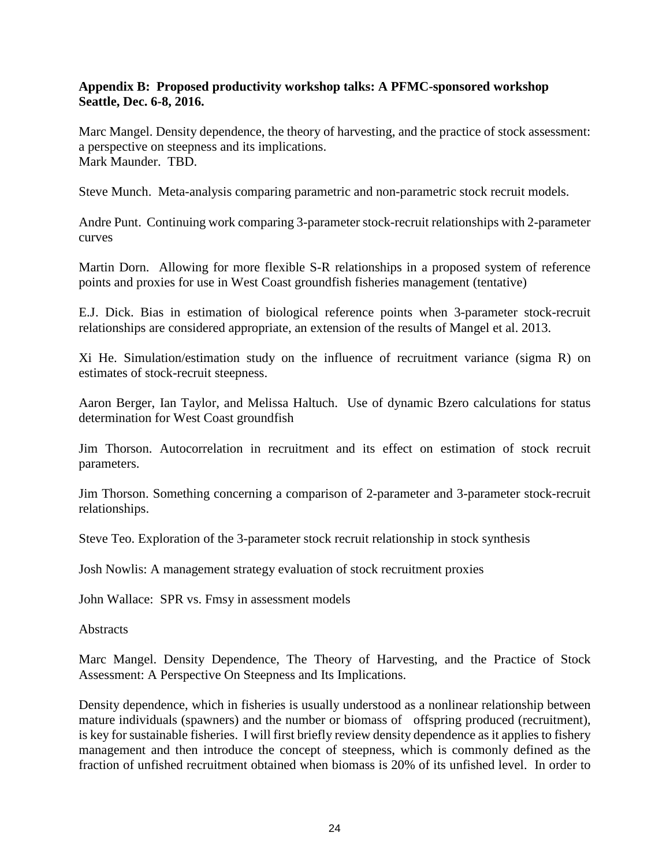### **Appendix B: Proposed productivity workshop talks: A PFMC-sponsored workshop Seattle, Dec. 6-8, 2016.**

Marc Mangel. Density dependence, the theory of harvesting, and the practice of stock assessment: a perspective on steepness and its implications. Mark Maunder. TBD.

Steve Munch. Meta-analysis comparing parametric and non-parametric stock recruit models.

Andre Punt. Continuing work comparing 3-parameter stock-recruit relationships with 2-parameter curves

Martin Dorn. Allowing for more flexible S-R relationships in a proposed system of reference points and proxies for use in West Coast groundfish fisheries management (tentative)

E.J. Dick. Bias in estimation of biological reference points when 3-parameter stock-recruit relationships are considered appropriate, an extension of the results of Mangel et al. 2013.

Xi He. Simulation/estimation study on the influence of recruitment variance (sigma R) on estimates of stock-recruit steepness.

Aaron Berger, Ian Taylor, and Melissa Haltuch. Use of dynamic Bzero calculations for status determination for West Coast groundfish

Jim Thorson. Autocorrelation in recruitment and its effect on estimation of stock recruit parameters.

Jim Thorson. Something concerning a comparison of 2-parameter and 3-parameter stock-recruit relationships.

Steve Teo. Exploration of the 3-parameter stock recruit relationship in stock synthesis

Josh Nowlis: A management strategy evaluation of stock recruitment proxies

John Wallace: SPR vs. Fmsy in assessment models

**Abstracts** 

Marc Mangel. Density Dependence, The Theory of Harvesting, and the Practice of Stock Assessment: A Perspective On Steepness and Its Implications.

Density dependence, which in fisheries is usually understood as a nonlinear relationship between mature individuals (spawners) and the number or biomass of offspring produced (recruitment), is key for sustainable fisheries. I will first briefly review density dependence as it applies to fishery management and then introduce the concept of steepness, which is commonly defined as the fraction of unfished recruitment obtained when biomass is 20% of its unfished level. In order to